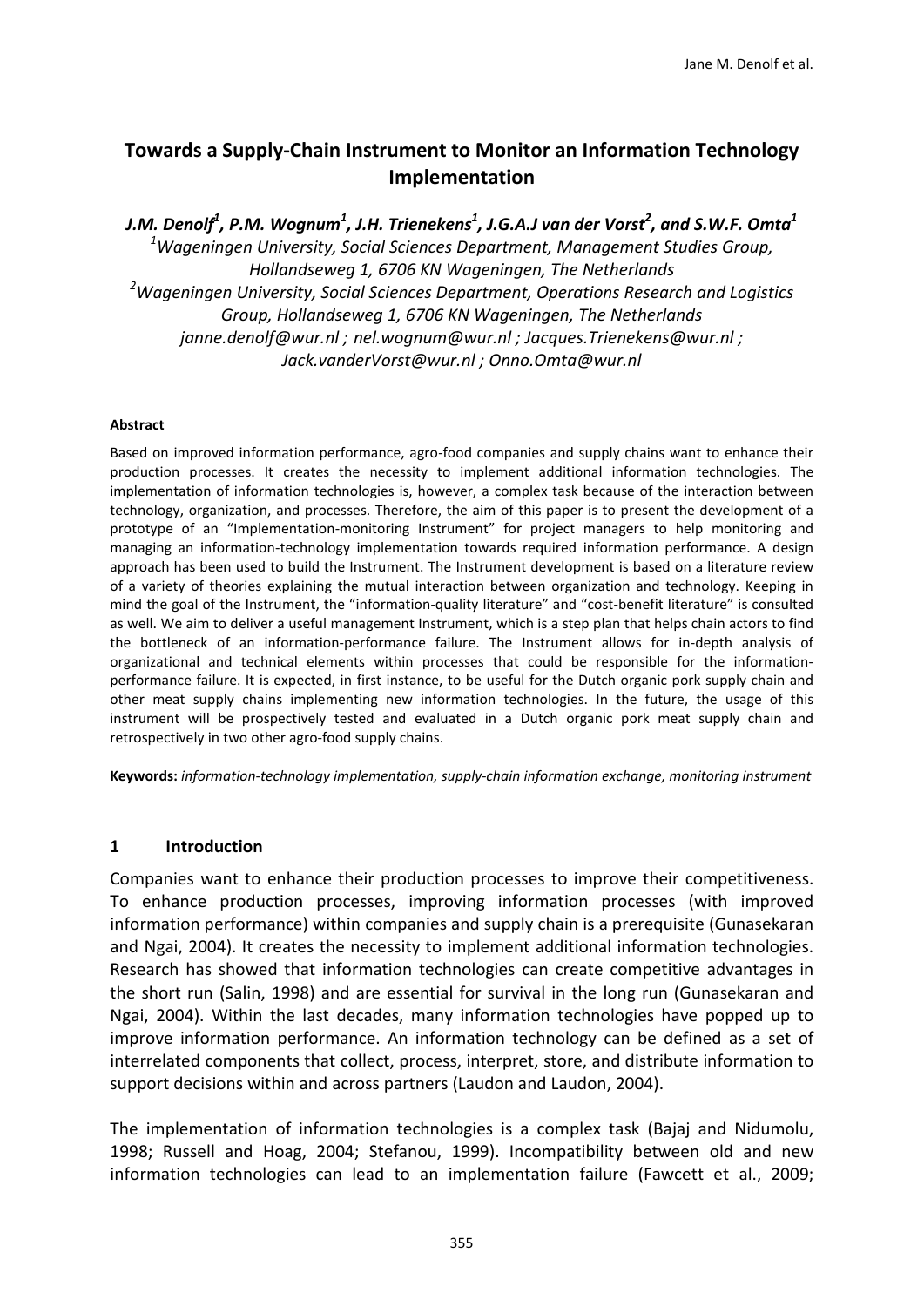# **Towards a Supply-Chain Instrument to Monitor an Information Technology Implementation**

*J.M. Denolf1 , P.M. Wognum1 , J.H. Trienekens1 , J.G.A.J van der Vorst2 , and S.W.F. Omta1 1 Wageningen University, Social Sciences Department, Management Studies Group, Hollandseweg 1, 6706 KN Wageningen, The Netherlands 2 Wageningen University, Social Sciences Department, Operations Research and Logistics Group, Hollandseweg 1, 6706 KN Wageningen, The Netherlands [janne.denolf@wur.nl](mailto:janne.denolf@wur.nl) ; [nel.wognum@wur.nl](mailto:nel.wognum@wur.nl) ; [Jacques.Trienekens@wur.nl](mailto:Jacques.Trienekens@wur.nl) ; [Jack.vanderVorst@wur.nl](mailto:Jack.vanderVorst@wur.nl) ; Onno.Omta@wur.nl*

#### **Abstract**

Based on improved information performance, agro-food companies and supply chains want to enhance their production processes. It creates the necessity to implement additional information technologies. The implementation of information technologies is, however, a complex task because of the interaction between technology, organization, and processes. Therefore, the aim of this paper is to present the development of a prototype of an "Implementation-monitoring Instrument" for project managers to help monitoring and managing an information-technology implementation towards required information performance. A design approach has been used to build the Instrument. The Instrument development is based on a literature review of a variety of theories explaining the mutual interaction between organization and technology. Keeping in mind the goal of the Instrument, the "information-quality literature" and "cost-benefit literature" is consulted as well. We aim to deliver a useful management Instrument, which is a step plan that helps chain actors to find the bottleneck of an information-performance failure. The Instrument allows for in-depth analysis of organizational and technical elements within processes that could be responsible for the informationperformance failure. It is expected, in first instance, to be useful for the Dutch organic pork supply chain and other meat supply chains implementing new information technologies. In the future, the usage of this instrument will be prospectively tested and evaluated in a Dutch organic pork meat supply chain and retrospectively in two other agro-food supply chains.

**Keywords:** *information-technology implementation, supply-chain information exchange, monitoring instrument*

## **1 Introduction**

Companies want to enhance their production processes to improve their competitiveness. To enhance production processes, improving information processes (with improved information performance) within companies and supply chain is a prerequisite [\(Gunasekaran](#page-16-0)  [and Ngai, 2004\)](#page-16-0). It creates the necessity to implement additional information technologies. Research has showed that information technologies can create competitive advantages in the short run [\(Salin, 1998\)](#page-17-0) and are essential for survival in the long run [\(Gunasekaran and](#page-16-0)  [Ngai, 2004\)](#page-16-0). Within the last decades, many information technologies have popped up to improve information performance. An information technology can be defined as a set of interrelated components that collect, process, interpret, store, and distribute information to support decisions within and across partners (Laudon and Laudon, 2004).

The implementation of information technologies is a complex task [\(Bajaj and Nidumolu,](#page-15-0)  [1998;](#page-15-0) [Russell and Hoag, 2004;](#page-17-1) [Stefanou, 1999\)](#page-17-2). Incompatibility between old and new information technologies can lead to an implementation failure [\(Fawcett et al., 2009;](#page-16-1)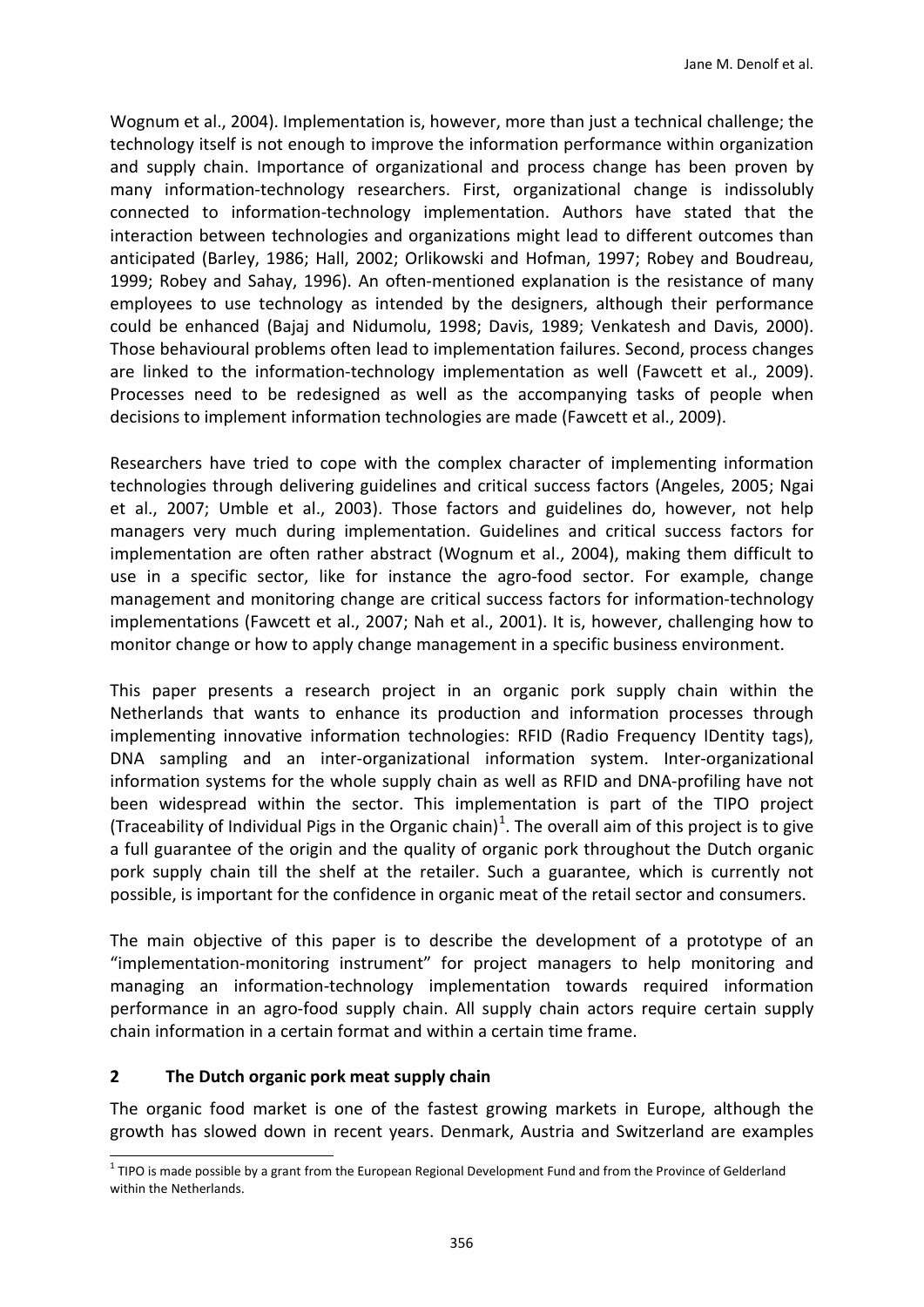[Wognum et al., 2004\)](#page-18-0). Implementation is, however, more than just a technical challenge; the technology itself is not enough to improve the information performance within organization and supply chain. Importance of organizational and process change has been proven by many information-technology researchers. First, organizational change is indissolubly connected to information-technology implementation. Authors have stated that the interaction between technologies and organizations might lead to different outcomes than anticipated [\(Barley, 1986;](#page-15-1) [Hall, 2002;](#page-16-2) [Orlikowski and Hofman, 1997;](#page-17-3) [Robey and Boudreau,](#page-17-4)  [1999;](#page-17-4) [Robey and Sahay, 1996\)](#page-17-5). An often-mentioned explanation is the resistance of many employees to use technology as intended by the designers, although their performance could be enhanced [\(Bajaj and Nidumolu, 1998;](#page-15-0) [Davis, 1989;](#page-15-2) [Venkatesh and Davis, 2000\)](#page-18-1). Those behavioural problems often lead to implementation failures. Second, process changes are linked to the information-technology implementation as well [\(Fawcett et al., 2009\)](#page-16-1). Processes need to be redesigned as well as the accompanying tasks of people when decisions to implement information technologies are made [\(Fawcett et al., 2009\)](#page-16-1).

Researchers have tried to cope with the complex character of implementing information technologies through delivering guidelines and critical success factors [\(Angeles, 2005;](#page-15-3) [Ngai](#page-16-3)  [et al., 2007;](#page-16-3) [Umble et al., 2003\)](#page-18-2). Those factors and guidelines do, however, not help managers very much during implementation. Guidelines and critical success factors for implementation are often rather abstract [\(Wognum et al., 2004\)](#page-18-0), making them difficult to use in a specific sector, like for instance the agro-food sector. For example, change management and monitoring change are critical success factors for information-technology implementations [\(Fawcett et al., 2007;](#page-16-4) [Nah et al., 2001\)](#page-16-5). It is, however, challenging how to monitor change or how to apply change management in a specific business environment.

This paper presents a research project in an organic pork supply chain within the Netherlands that wants to enhance its production and information processes through implementing innovative information technologies: RFID (Radio Frequency IDentity tags), DNA sampling and an inter-organizational information system. Inter-organizational information systems for the whole supply chain as well as RFID and DNA-profiling have not been widespread within the sector. This implementation is part of the TIPO project (Traceability of Individual Pigs in the Organic chain)<sup>[1](#page-1-0)</sup>. The overall aim of this project is to give a full guarantee of the origin and the quality of organic pork throughout the Dutch organic pork supply chain till the shelf at the retailer. Such a guarantee, which is currently not possible, is important for the confidence in organic meat of the retail sector and consumers.

The main objective of this paper is to describe the development of a prototype of an "implementation-monitoring instrument" for project managers to help monitoring and managing an information-technology implementation towards required information performance in an agro-food supply chain. All supply chain actors require certain supply chain information in a certain format and within a certain time frame.

## **2 The Dutch organic pork meat supply chain**

The organic food market is one of the fastest growing markets in Europe, although the growth has slowed down in recent years. Denmark, Austria and Switzerland are examples

<span id="page-1-0"></span><sup>1&</sup>lt;br>1 TIPO is made possible by a grant from the European Regional Development Fund and from the Province of Gelderland within the Netherlands.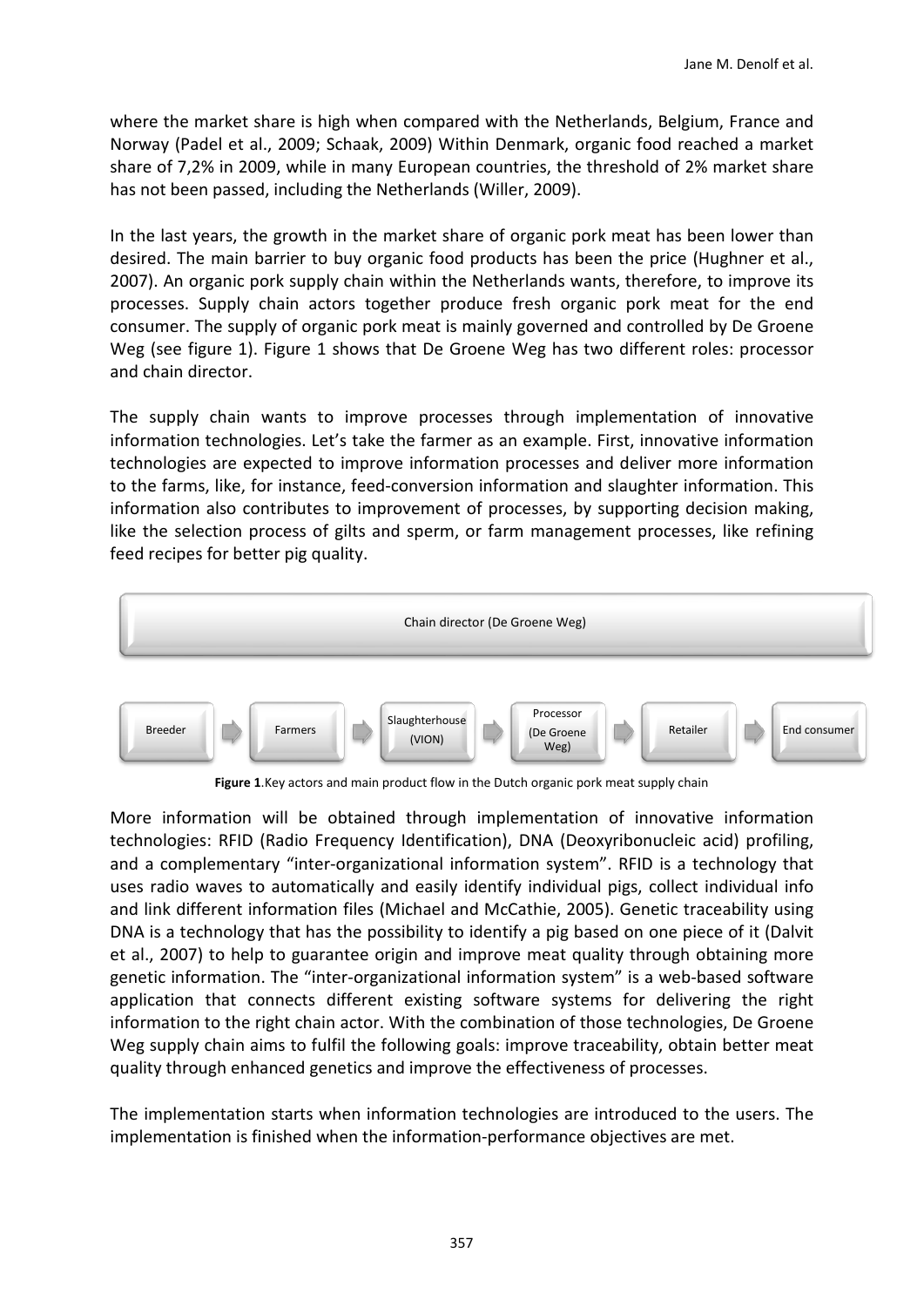where the market share is high when compared with the Netherlands, Belgium, France and Norway [\(Padel et al., 2009;](#page-17-6) [Schaak, 2009\)](#page-17-7) Within Denmark, organic food reached a market share of 7,2% in 2009, while in many European countries, the threshold of 2% market share has not been passed, including the Netherlands [\(Willer, 2009\)](#page-18-3).

In the last years, the growth in the market share of organic pork meat has been lower than desired. The main barrier to buy organic food products has been the price [\(Hughner et al.,](#page-16-6)  [2007\)](#page-16-6). An organic pork supply chain within the Netherlands wants, therefore, to improve its processes. Supply chain actors together produce fresh organic pork meat for the end consumer. The supply of organic pork meat is mainly governed and controlled by De Groene Weg (see figure 1). Figure 1 shows that De Groene Weg has two different roles: processor and chain director.

The supply chain wants to improve processes through implementation of innovative information technologies. Let's take the farmer as an example. First, innovative information technologies are expected to improve information processes and deliver more information to the farms, like, for instance, feed-conversion information and slaughter information. This information also contributes to improvement of processes, by supporting decision making, like the selection process of gilts and sperm, or farm management processes, like refining feed recipes for better pig quality.



**Figure 1**.Key actors and main product flow in the Dutch organic pork meat supply chain

More information will be obtained through implementation of innovative information technologies: RFID (Radio Frequency Identification), DNA (Deoxyribonucleic acid) profiling, and a complementary "inter-organizational information system". RFID is a technology that uses radio waves to automatically and easily identify individual pigs, collect individual info and link different information files [\(Michael and McCathie, 2005\)](#page-16-7). Genetic traceability using DNA is a technology that has the possibility to identify a pig based on one piece of it [\(Dalvit](#page-15-4)  [et al.,](#page-15-4) 2007) to help to guarantee origin and improve meat quality through obtaining more genetic information. The "inter-organizational information system" is a web-based software application that connects different existing software systems for delivering the right information to the right chain actor. With the combination of those technologies, De Groene Weg supply chain aims to fulfil the following goals: improve traceability, obtain better meat quality through enhanced genetics and improve the effectiveness of processes.

The implementation starts when information technologies are introduced to the users. The implementation is finished when the information-performance objectives are met.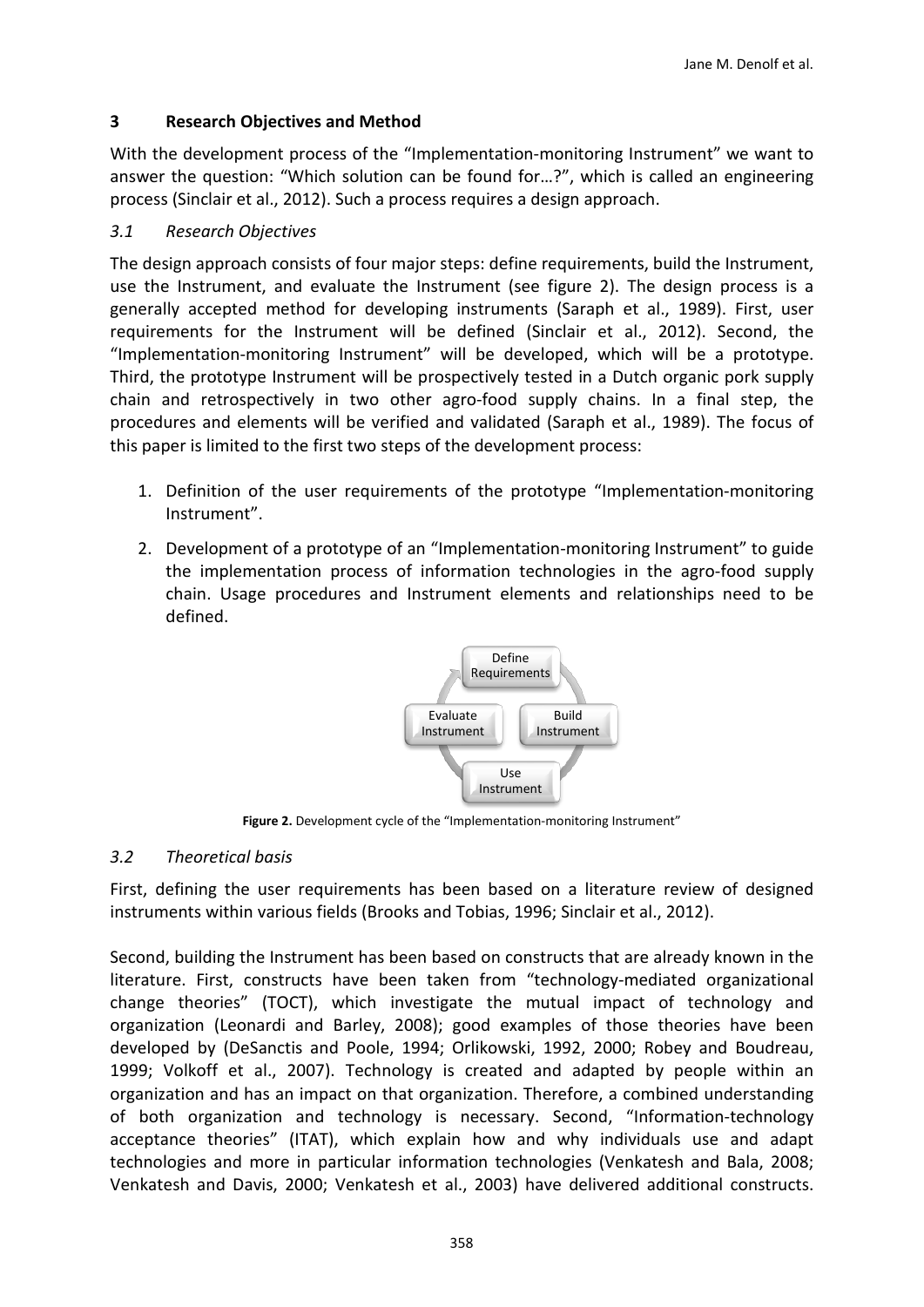## **3 Research Objectives and Method**

With the development process of the "Implementation-monitoring Instrument" we want to answer the question: "Which solution can be found for…?", which is called an engineering process [\(Sinclair et al., 2012\)](#page-17-8). Such a process requires a design approach.

## *3.1 Research Objectives*

The design approach consists of four major steps: define requirements, build the Instrument, use the Instrument, and evaluate the Instrument (see figure 2). The design process is a generally accepted method for developing instruments [\(Saraph et al., 1989\)](#page-17-9). First, user requirements for the Instrument will be defined [\(Sinclair et al., 2012\)](#page-17-8). Second, the "Implementation-monitoring Instrument" will be developed, which will be a prototype. Third, the prototype Instrument will be prospectively tested in a Dutch organic pork supply chain and retrospectively in two other agro-food supply chains. In a final step, the procedures and elements will be verified and validated [\(Saraph et al., 1989\)](#page-17-9). The focus of this paper is limited to the first two steps of the development process:

- 1. Definition of the user requirements of the prototype "Implementation-monitoring Instrument".
- 2. Development of a prototype of an "Implementation-monitoring Instrument" to guide the implementation process of information technologies in the agro-food supply chain. Usage procedures and Instrument elements and relationships need to be defined.



**Figure 2.** Development cycle of the "Implementation-monitoring Instrument"

## *3.2 Theoretical basis*

First, defining the user requirements has been based on a literature review of designed instruments within various fields [\(Brooks and Tobias, 1996;](#page-15-5) [Sinclair et al., 2012\)](#page-17-8).

Second, building the Instrument has been based on constructs that are already known in the literature. First, constructs have been taken from "technology-mediated organizational change theories" (TOCT), which investigate the mutual impact of technology and organization [\(Leonardi and Barley, 2008\)](#page-16-8); good examples of those theories have been developed by [\(DeSanctis and Poole, 1994;](#page-15-6) [Orlikowski, 1992,](#page-16-9) [2000;](#page-17-10) [Robey and Boudreau,](#page-17-4)  [1999;](#page-17-4) [Volkoff et al., 2007\)](#page-18-4). Technology is created and adapted by people within an organization and has an impact on that organization. Therefore, a combined understanding of both organization and technology is necessary. Second, "Information-technology acceptance theories" (ITAT), which explain how and why individuals use and adapt technologies and more in particular information technologies [\(Venkatesh and Bala, 2008;](#page-18-5) [Venkatesh and Davis, 2000;](#page-18-1) [Venkatesh et al., 2003\)](#page-18-6) have delivered additional constructs.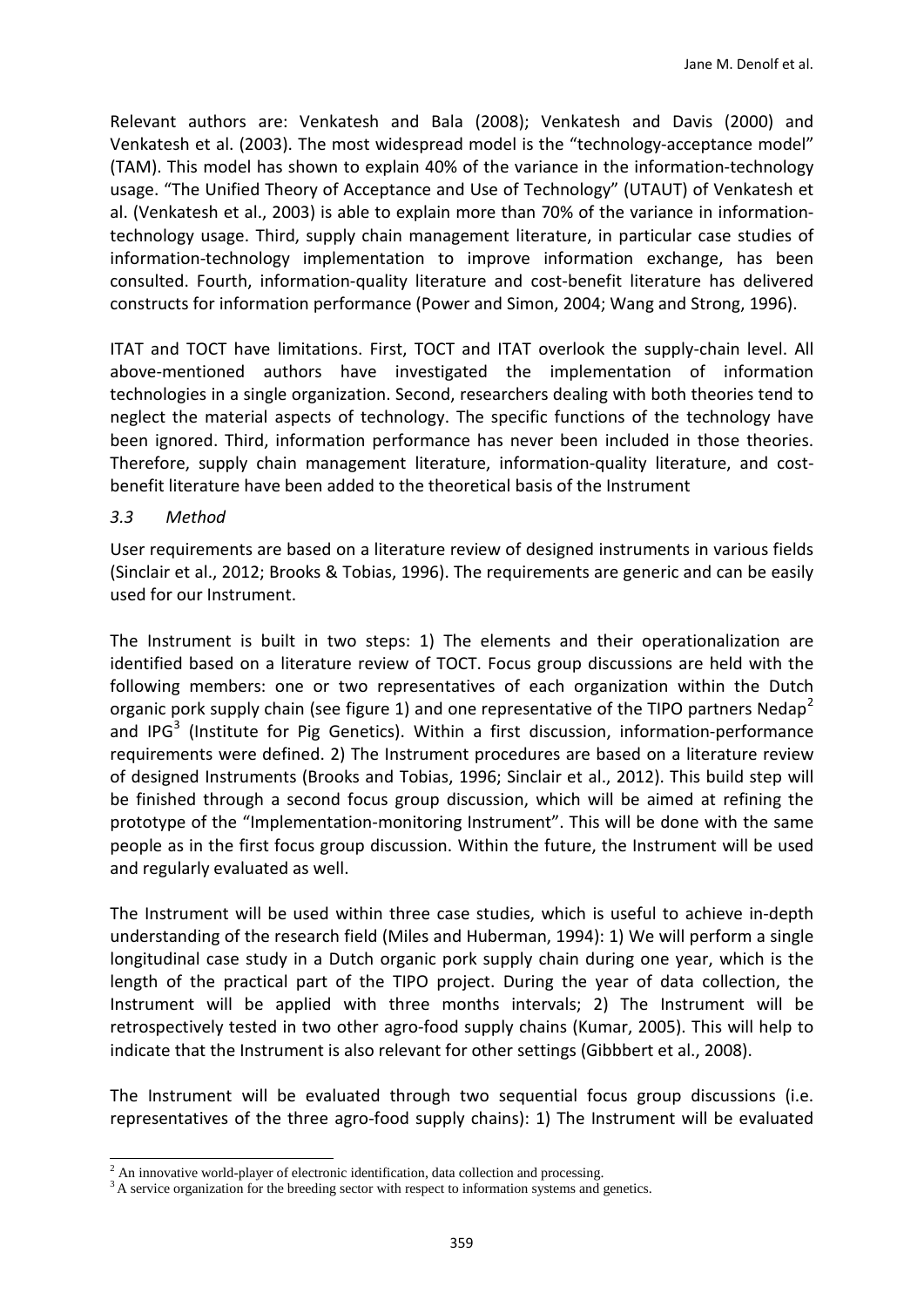Relevant authors are: Venkatesh and Bala (2008); Venkatesh and Davis (2000) and Venkatesh et al. (2003). The most widespread model is the "technology-acceptance model" (TAM). This model has shown to explain 40% of the variance in the information-technology usage. "The Unified Theory of Acceptance and Use of Technology" (UTAUT) of Venkatesh et al. [\(Venkatesh et al., 2003\)](#page-18-6) is able to explain more than 70% of the variance in informationtechnology usage. Third, supply chain management literature, in particular case studies of information-technology implementation to improve information exchange, has been consulted. Fourth, information-quality literature and cost-benefit literature has delivered constructs for information performance [\(Power and Simon, 2004;](#page-17-11) [Wang and Strong, 1996\)](#page-18-7).

ITAT and TOCT have limitations. First, TOCT and ITAT overlook the supply-chain level. All above-mentioned authors have investigated the implementation of information technologies in a single organization. Second, researchers dealing with both theories tend to neglect the material aspects of technology. The specific functions of the technology have been ignored. Third, information performance has never been included in those theories. Therefore, supply chain management literature, information-quality literature, and costbenefit literature have been added to the theoretical basis of the Instrument

#### *3.3 Method*

User requirements are based on a literature review of designed instruments in various fields (Sinclair et al., 2012; Brooks & Tobias, 1996). The requirements are generic and can be easily used for our Instrument.

The Instrument is built in two steps: 1) The elements and their operationalization are identified based on a literature review of TOCT. Focus group discussions are held with the following members: one or two representatives of each organization within the Dutch organic pork supply chain (see figure 1) and one representative of the TIPO partners Nedap<sup>[2](#page-4-0)</sup> and IPG<sup>[3](#page-4-1)</sup> (Institute for Pig Genetics). Within a first discussion, information-performance requirements were defined. 2) The Instrument procedures are based on a literature review of designed Instruments [\(Brooks and Tobias, 1996;](#page-15-5) [Sinclair et al., 2012\)](#page-17-8). This build step will be finished through a second focus group discussion, which will be aimed at refining the prototype of the "Implementation-monitoring Instrument". This will be done with the same people as in the first focus group discussion. Within the future, the Instrument will be used and regularly evaluated as well.

The Instrument will be used within three case studies, which is useful to achieve in-depth understanding of the research field [\(Miles and Huberman, 1994\)](#page-16-10): 1) We will perform a single longitudinal case study in a Dutch organic pork supply chain during one year, which is the length of the practical part of the TIPO project. During the year of data collection, the Instrument will be applied with three months intervals; 2) The Instrument will be retrospectively tested in two other agro-food supply chains [\(Kumar, 2005\)](#page-16-11). This will help to indicate that the Instrument is also relevant for other settings [\(Gibbbert et al., 2008\)](#page-16-12).

The Instrument will be evaluated through two sequential focus group discussions (i.e. representatives of the three agro-food supply chains): 1) The Instrument will be evaluated

<span id="page-4-0"></span> $2$  An innovative world-player of electronic identification, data collection and processing.

<span id="page-4-1"></span><sup>&</sup>lt;sup>3</sup> A service organization for the breeding sector with respect to information systems and genetics.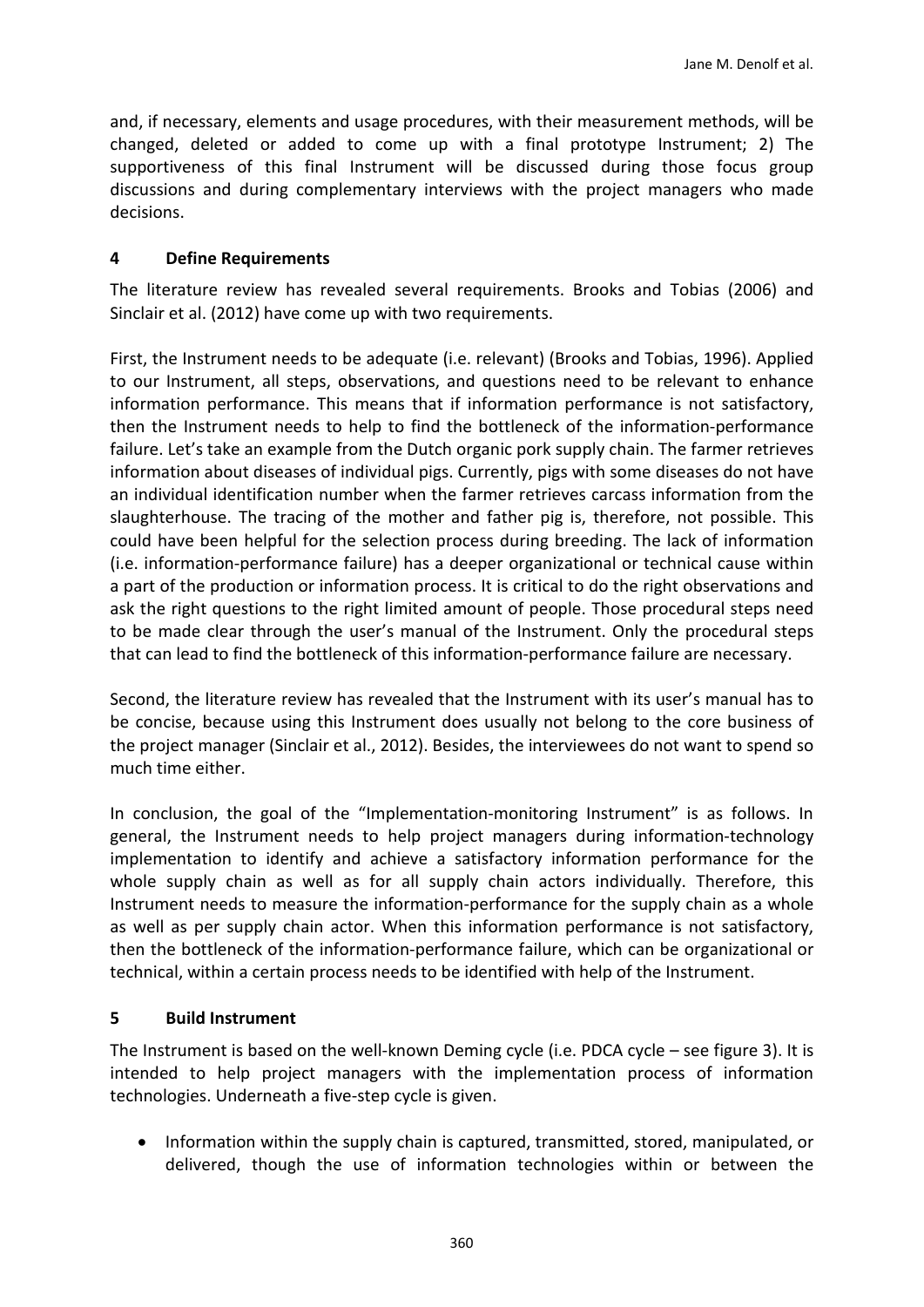and, if necessary, elements and usage procedures, with their measurement methods, will be changed, deleted or added to come up with a final prototype Instrument; 2) The supportiveness of this final Instrument will be discussed during those focus group discussions and during complementary interviews with the project managers who made decisions.

## **4 Define Requirements**

The literature review has revealed several requirements. Brooks and Tobias (2006) and Sinclair et al. (2012) have come up with two requirements.

First, the Instrument needs to be adequate (i.e. relevant) [\(Brooks and Tobias, 1996\)](#page-15-5). Applied to our Instrument, all steps, observations, and questions need to be relevant to enhance information performance. This means that if information performance is not satisfactory, then the Instrument needs to help to find the bottleneck of the information-performance failure. Let's take an example from the Dutch organic pork supply chain. The farmer retrieves information about diseases of individual pigs. Currently, pigs with some diseases do not have an individual identification number when the farmer retrieves carcass information from the slaughterhouse. The tracing of the mother and father pig is, therefore, not possible. This could have been helpful for the selection process during breeding. The lack of information (i.e. information-performance failure) has a deeper organizational or technical cause within a part of the production or information process. It is critical to do the right observations and ask the right questions to the right limited amount of people. Those procedural steps need to be made clear through the user's manual of the Instrument. Only the procedural steps that can lead to find the bottleneck of this information-performance failure are necessary.

Second, the literature review has revealed that the Instrument with its user's manual has to be concise, because using this Instrument does usually not belong to the core business of the project manager [\(Sinclair et al., 2012\)](#page-17-8). Besides, the interviewees do not want to spend so much time either.

In conclusion, the goal of the "Implementation-monitoring Instrument" is as follows. In general, the Instrument needs to help project managers during information-technology implementation to identify and achieve a satisfactory information performance for the whole supply chain as well as for all supply chain actors individually. Therefore, this Instrument needs to measure the information-performance for the supply chain as a whole as well as per supply chain actor. When this information performance is not satisfactory, then the bottleneck of the information-performance failure, which can be organizational or technical, within a certain process needs to be identified with help of the Instrument.

## **5 Build Instrument**

The Instrument is based on the well-known Deming cycle (i.e. PDCA cycle – see figure 3). It is intended to help project managers with the implementation process of information technologies. Underneath a five-step cycle is given.

• Information within the supply chain is captured, transmitted, stored, manipulated, or delivered, though the use of information technologies within or between the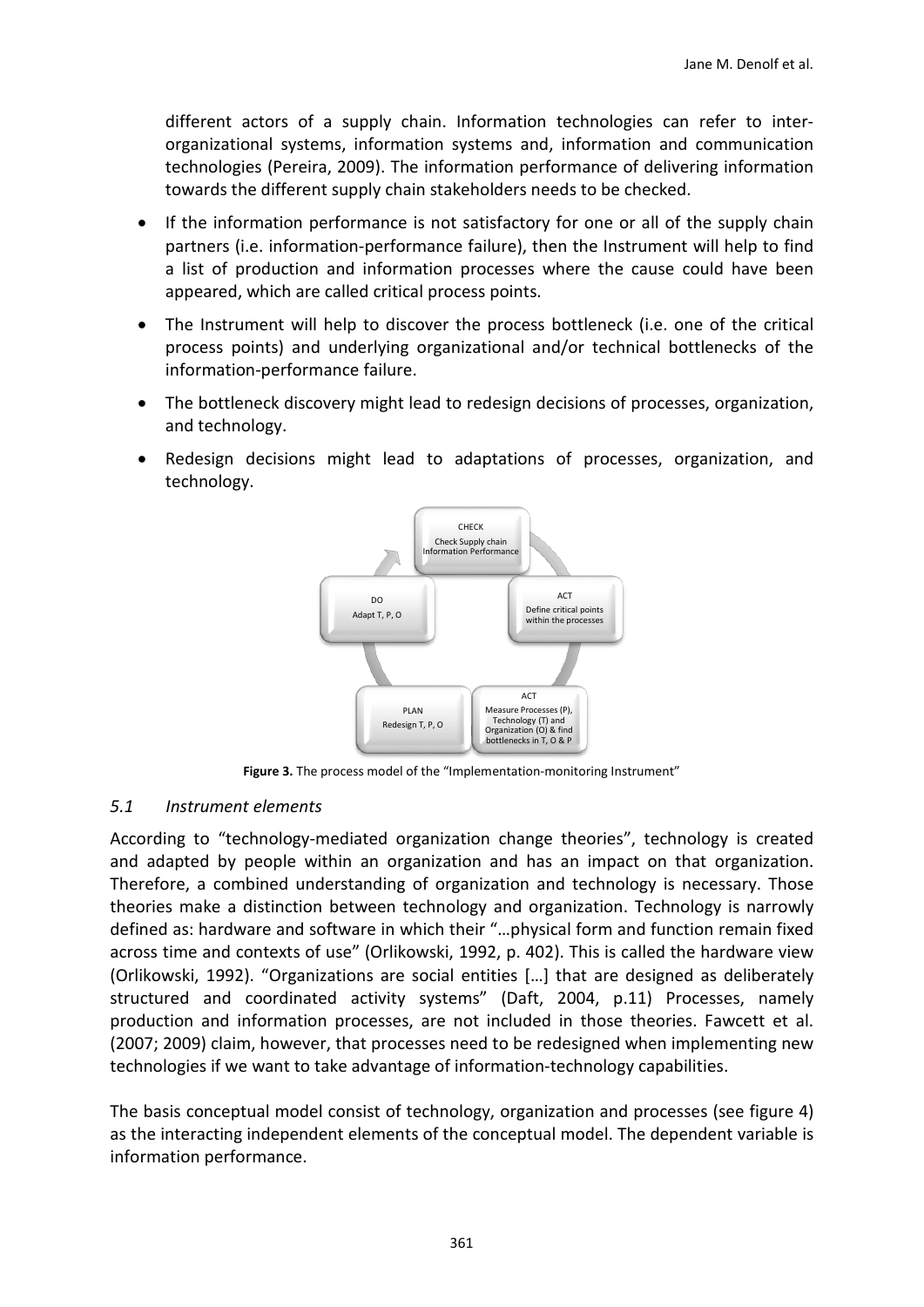different actors of a supply chain. Information technologies can refer to interorganizational systems, information systems and, information and communication technologies [\(Pereira, 2009\)](#page-17-12). The information performance of delivering information towards the different supply chain stakeholders needs to be checked.

- If the information performance is not satisfactory for one or all of the supply chain partners (i.e. information-performance failure), then the Instrument will help to find a list of production and information processes where the cause could have been appeared, which are called critical process points.
- The Instrument will help to discover the process bottleneck (i.e. one of the critical process points) and underlying organizational and/or technical bottlenecks of the information-performance failure.
- The bottleneck discovery might lead to redesign decisions of processes, organization, and technology.
- Redesign decisions might lead to adaptations of processes, organization, and technology.



**Figure 3.** The process model of the "Implementation-monitoring Instrument"

## *5.1 Instrument elements*

According to "technology-mediated organization change theories", technology is created and adapted by people within an organization and has an impact on that organization. Therefore, a combined understanding of organization and technology is necessary. Those theories make a distinction between technology and organization. Technology is narrowly defined as: hardware and software in which their "…physical form and function remain fixed across time and contexts of use" (Orlikowski, 1992, p. 402). This is called the hardware view [\(Orlikowski, 1992\)](#page-16-9). "Organizations are social entities […] that are designed as deliberately structured and coordinated activity systems" (Daft, 2004, p.11) Processes, namely production and information processes, are not included in those theories. Fawcett et al. (2007; 2009) claim, however, that processes need to be redesigned when implementing new technologies if we want to take advantage of information-technology capabilities.

The basis conceptual model consist of technology, organization and processes (see figure 4) as the interacting independent elements of the conceptual model. The dependent variable is information performance.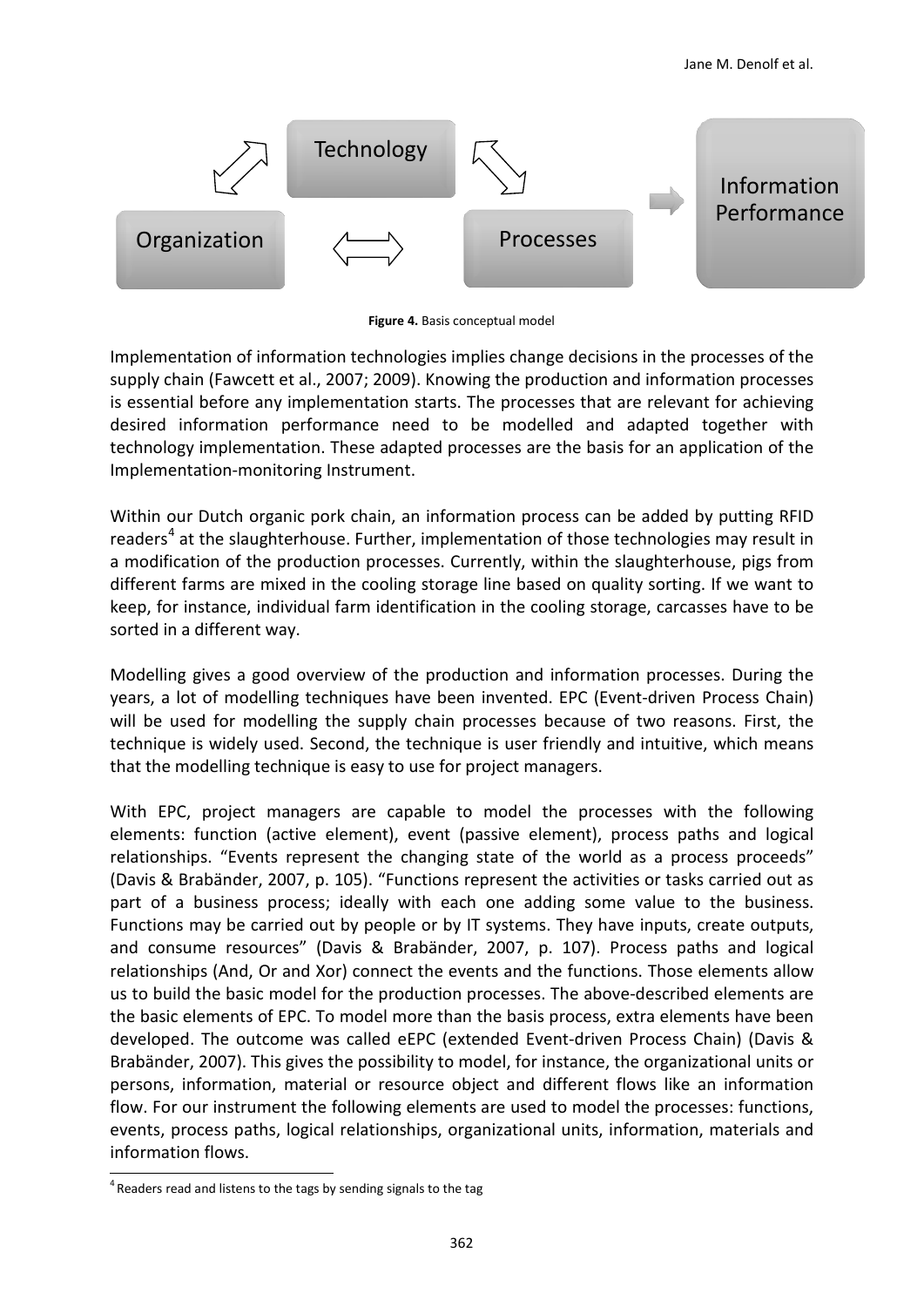

**Figure 4.** Basis conceptual model

Implementation of information technologies implies change decisions in the processes of the supply chain (Fawcett et al., 2007; 2009). Knowing the production and information processes is essential before any implementation starts. The processes that are relevant for achieving desired information performance need to be modelled and adapted together with technology implementation. These adapted processes are the basis for an application of the Implementation-monitoring Instrument.

Within our Dutch organic pork chain, an information process can be added by putting RFID readers<sup>[4](#page-7-0)</sup> at the slaughterhouse. Further, implementation of those technologies may result in a modification of the production processes. Currently, within the slaughterhouse, pigs from different farms are mixed in the cooling storage line based on quality sorting. If we want to keep, for instance, individual farm identification in the cooling storage, carcasses have to be sorted in a different way.

Modelling gives a good overview of the production and information processes. During the years, a lot of modelling techniques have been invented. EPC (Event-driven Process Chain) will be used for modelling the supply chain processes because of two reasons. First, the technique is widely used. Second, the technique is user friendly and intuitive, which means that the modelling technique is easy to use for project managers.

With EPC, project managers are capable to model the processes with the following elements: function (active element), event (passive element), process paths and logical relationships. "Events represent the changing state of the world as a process proceeds" (Davis & Brabänder, 2007, p. 105). "Functions represent the activities or tasks carried out as part of a business process; ideally with each one adding some value to the business. Functions may be carried out by people or by IT systems. They have inputs, create outputs, and consume resources" (Davis & Brabänder, 2007, p. 107). Process paths and logical relationships (And, Or and Xor) connect the events and the functions. Those elements allow us to build the basic model for the production processes. The above-described elements are the basic elements of EPC. To model more than the basis process, extra elements have been developed. The outcome was called eEPC (extended Event-driven Process Chain) (Davis & Brabänder, 2007). This gives the possibility to model, for instance, the organizational units or persons, information, material or resource object and different flows like an information flow. For our instrument the following elements are used to model the processes: functions, events, process paths, logical relationships, organizational units, information, materials and information flows.

i,

<span id="page-7-0"></span> $4$  Readers read and listens to the tags by sending signals to the tag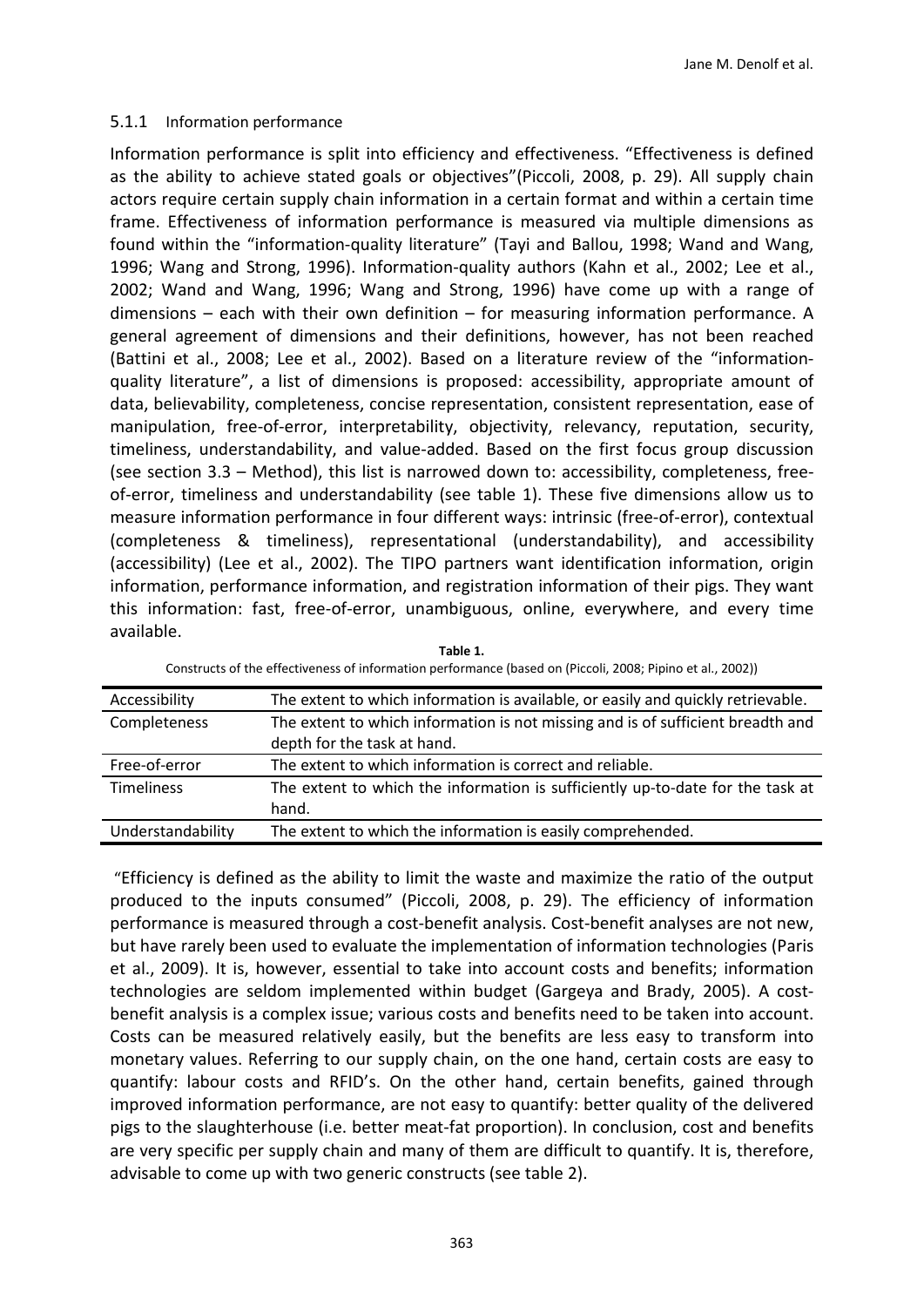#### 5.1.1 Information performance

Information performance is split into efficiency and effectiveness. "Effectiveness is defined as the ability to achieve stated goals or objectives"(Piccoli, 2008, p. 29). All supply chain actors require certain supply chain information in a certain format and within a certain time frame. Effectiveness of information performance is measured via multiple dimensions as found within the "information-quality literature" [\(Tayi and Ballou, 1998;](#page-18-8) [Wand and Wang,](#page-18-9)  [1996;](#page-18-9) [Wang and Strong, 1996\)](#page-18-7). Information-quality authors [\(Kahn et al., 2002;](#page-16-13) [Lee et al.,](#page-16-14)  [2002;](#page-16-14) [Wand and Wang, 1996;](#page-18-9) [Wang and Strong, 1996\)](#page-18-7) have come up with a range of dimensions – each with their own definition – for measuring information performance. A general agreement of dimensions and their definitions, however, has not been reached [\(Battini et al., 2008;](#page-15-7) [Lee et al., 2002\)](#page-16-14). Based on a literature review of the "informationquality literature", a list of dimensions is proposed: accessibility, appropriate amount of data, believability, completeness, concise representation, consistent representation, ease of manipulation, free-of-error, interpretability, objectivity, relevancy, reputation, security, timeliness, understandability, and value-added. Based on the first focus group discussion (see section 3.3 – Method), this list is narrowed down to: accessibility, completeness, freeof-error, timeliness and understandability (see table 1). These five dimensions allow us to measure information performance in four different ways: intrinsic (free-of-error), contextual (completeness & timeliness), representational (understandability), and accessibility (accessibility) [\(Lee et al., 2002\)](#page-16-14). The TIPO partners want identification information, origin information, performance information, and registration information of their pigs. They want this information: fast, free-of-error, unambiguous, online, everywhere, and every time available.

| Accessibility     | The extent to which information is available, or easily and quickly retrievable. |
|-------------------|----------------------------------------------------------------------------------|
| Completeness      | The extent to which information is not missing and is of sufficient breadth and  |
|                   | depth for the task at hand.                                                      |
| Free-of-error     | The extent to which information is correct and reliable.                         |
| <b>Timeliness</b> | The extent to which the information is sufficiently up-to-date for the task at   |
|                   | hand.                                                                            |
| Understandability | The extent to which the information is easily comprehended.                      |

**Table 1.** Constructs of the effectiveness of information performance (based on [\(Piccoli, 2008;](#page-17-13) [Pipino et al., 2002\)](#page-17-14))

 "Efficiency is defined as the ability to limit the waste and maximize the ratio of the output produced to the inputs consumed" (Piccoli, 2008, p. 29). The efficiency of information performance is measured through a cost-benefit analysis. Cost-benefit analyses are not new, but have rarely been used to evaluate the implementation of information technologies (Paris et al., 2009). It is, however, essential to take into account costs and benefits; information technologies are seldom implemented within budget [\(Gargeya and Brady, 2005\)](#page-16-15). A costbenefit analysis is a complex issue; various costs and benefits need to be taken into account. Costs can be measured relatively easily, but the benefits are less easy to transform into monetary values. Referring to our supply chain, on the one hand, certain costs are easy to quantify: labour costs and RFID's. On the other hand, certain benefits, gained through improved information performance, are not easy to quantify: better quality of the delivered pigs to the slaughterhouse (i.e. better meat-fat proportion). In conclusion, cost and benefits are very specific per supply chain and many of them are difficult to quantify. It is, therefore, advisable to come up with two generic constructs (see table 2).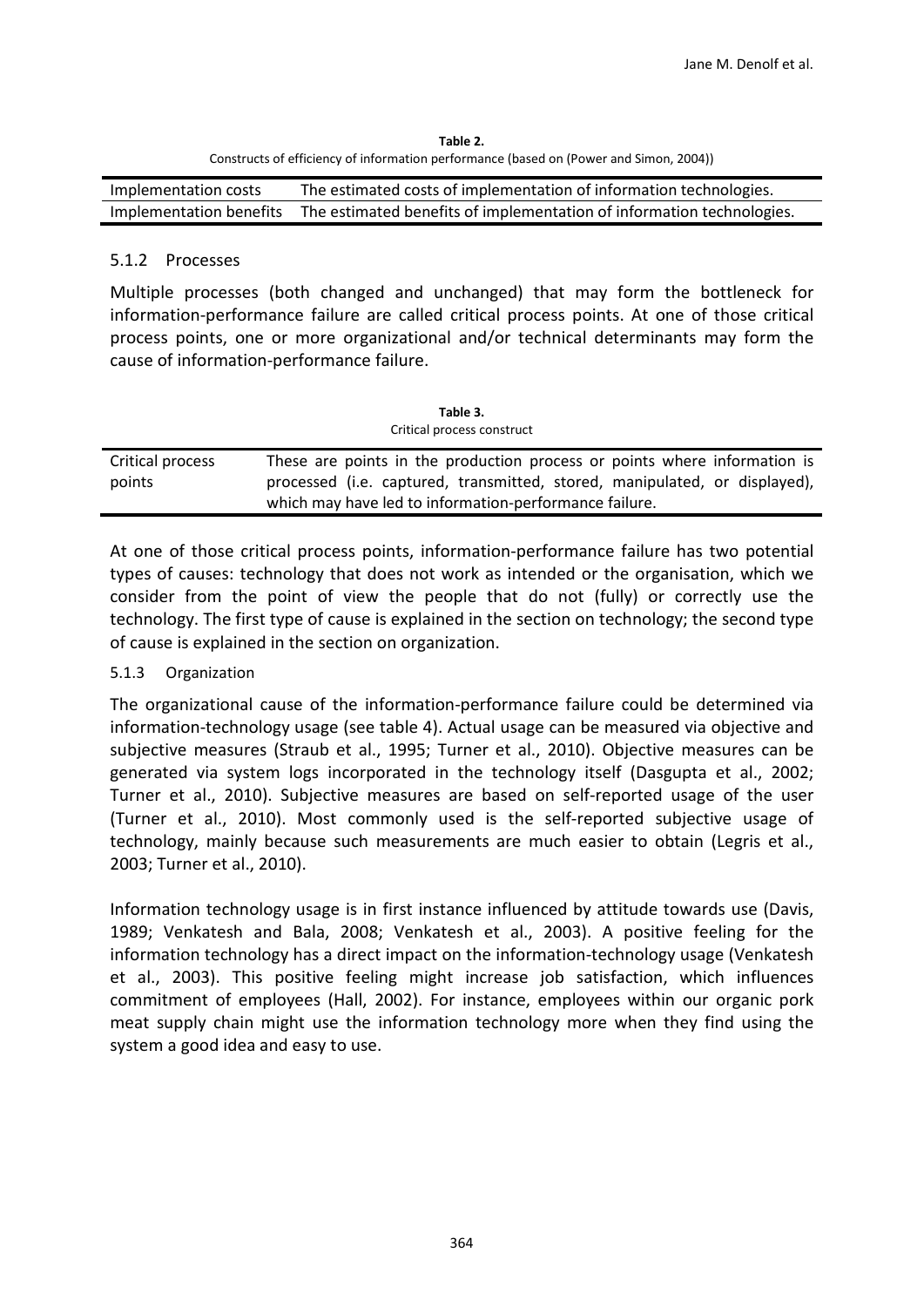**Table 2.** Constructs of efficiency of information performance (based on [\(Power and Simon, 2004\)](#page-17-11))

| Implementation costs | The estimated costs of implementation of information technologies.                            |
|----------------------|-----------------------------------------------------------------------------------------------|
|                      | Implementation benefits The estimated benefits of implementation of information technologies. |

## 5.1.2 Processes

Multiple processes (both changed and unchanged) that may form the bottleneck for information-performance failure are called critical process points. At one of those critical process points, one or more organizational and/or technical determinants may form the cause of information-performance failure.

| Table 3.<br>Critical process construct |                                                                                                                                                         |
|----------------------------------------|---------------------------------------------------------------------------------------------------------------------------------------------------------|
| Critical process<br>points             | These are points in the production process or points where information is<br>processed (i.e. captured, transmitted, stored, manipulated, or displayed), |
|                                        | which may have led to information-performance failure.                                                                                                  |

At one of those critical process points, information-performance failure has two potential types of causes: technology that does not work as intended or the organisation, which we consider from the point of view the people that do not (fully) or correctly use the technology. The first type of cause is explained in the section on technology; the second type of cause is explained in the section on organization.

## 5.1.3 Organization

The organizational cause of the information-performance failure could be determined via information-technology usage (see table 4). Actual usage can be measured via objective and subjective measures [\(Straub et al., 1995;](#page-18-10) [Turner et](#page-18-11) al., 2010). Objective measures can be generated via system logs incorporated in the technology itself [\(Dasgupta et al., 2002;](#page-15-8) [Turner et al., 2010\)](#page-18-11). Subjective measures are based on self-reported usage of the user [\(Turner et al., 2010\)](#page-18-11). Most commonly used is the self-reported subjective usage of technology, mainly because such measurements are much easier to obtain [\(Legris et al.,](#page-16-16)  [2003;](#page-16-16) [Turner et al., 2010\)](#page-18-11).

Information technology usage is in first instance influenced by attitude towards use [\(Davis,](#page-15-2)  [1989;](#page-15-2) [Venkatesh and Bala, 2008;](#page-18-5) [Venkatesh et al., 2003\)](#page-18-6). A positive feeling for the information technology has a direct impact on the information-technology usage [\(Venkatesh](#page-18-6)  [et al., 2003\)](#page-18-6). This positive feeling might increase job satisfaction, which influences commitment of employees [\(Hall, 2002\)](#page-16-2). For instance, employees within our organic pork meat supply chain might use the information technology more when they find using the system a good idea and easy to use.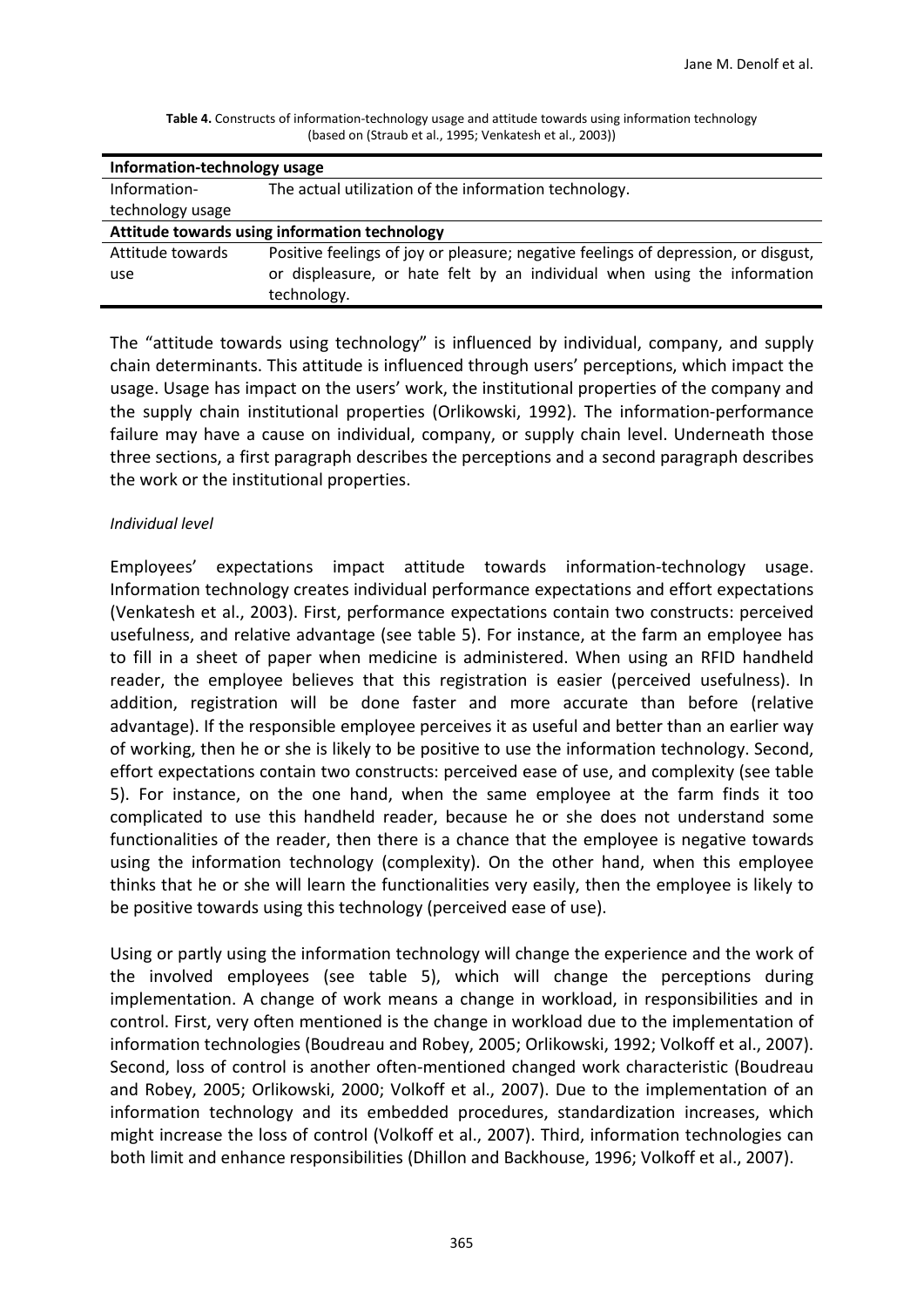| Information-technology usage                  |                                                                                         |
|-----------------------------------------------|-----------------------------------------------------------------------------------------|
| Information-                                  | The actual utilization of the information technology.                                   |
| technology usage                              |                                                                                         |
| Attitude towards using information technology |                                                                                         |
| Attitude towards                              | Positive feelings of joy or pleasure; negative feelings of depression, or disgust,      |
| use                                           | or displeasure, or hate felt by an individual when using the information<br>technology. |

**Table 4.** Constructs of information-technology usage and attitude towards using information technology (based on [\(Straub et al., 1995;](#page-18-10) [Venkatesh et al., 2003\)](#page-18-6))

The "attitude towards using technology" is influenced by individual, company, and supply chain determinants. This attitude is influenced through users' perceptions, which impact the usage. Usage has impact on the users' work, the institutional properties of the company and the supply chain institutional properties [\(Orlikowski, 1992\)](#page-16-9). The information-performance failure may have a cause on individual, company, or supply chain level. Underneath those three sections, a first paragraph describes the perceptions and a second paragraph describes the work or the institutional properties.

#### *Individual level*

Employees' expectations impact attitude towards information-technology usage. Information technology creates individual performance expectations and effort expectations [\(Venkatesh et al., 2003\)](#page-18-6). First, performance expectations contain two constructs: perceived usefulness, and relative advantage (see table 5). For instance, at the farm an employee has to fill in a sheet of paper when medicine is administered. When using an RFID handheld reader, the employee believes that this registration is easier (perceived usefulness). In addition, registration will be done faster and more accurate than before (relative advantage). If the responsible employee perceives it as useful and better than an earlier way of working, then he or she is likely to be positive to use the information technology. Second, effort expectations contain two constructs: perceived ease of use, and complexity (see table 5). For instance, on the one hand, when the same employee at the farm finds it too complicated to use this handheld reader, because he or she does not understand some functionalities of the reader, then there is a chance that the employee is negative towards using the information technology (complexity). On the other hand, when this employee thinks that he or she will learn the functionalities very easily, then the employee is likely to be positive towards using this technology (perceived ease of use).

Using or partly using the information technology will change the experience and the work of the involved employees (see table 5), which will change the perceptions during implementation. A change of work means a change in workload, in responsibilities and in control. First, very often mentioned is the change in workload due to the implementation of information technologies [\(Boudreau and Robey, 2005;](#page-15-9) [Orlikowski, 1992;](#page-16-9) [Volkoff et al., 2007\)](#page-18-4). Second, loss of control is another often-mentioned changed work characteristic [\(Boudreau](#page-15-9)  [and Robey, 2005;](#page-15-9) [Orlikowski, 2000;](#page-17-10) [Volkoff et al., 2007\)](#page-18-4). Due to the implementation of an information technology and its embedded procedures, standardization increases, which might increase the loss of control [\(Volkoff et al., 2007\)](#page-18-4). Third, information technologies can both limit and enhance responsibilities [\(Dhillon and Backhouse, 1996;](#page-15-10) [Volkoff et al., 2007\)](#page-18-4).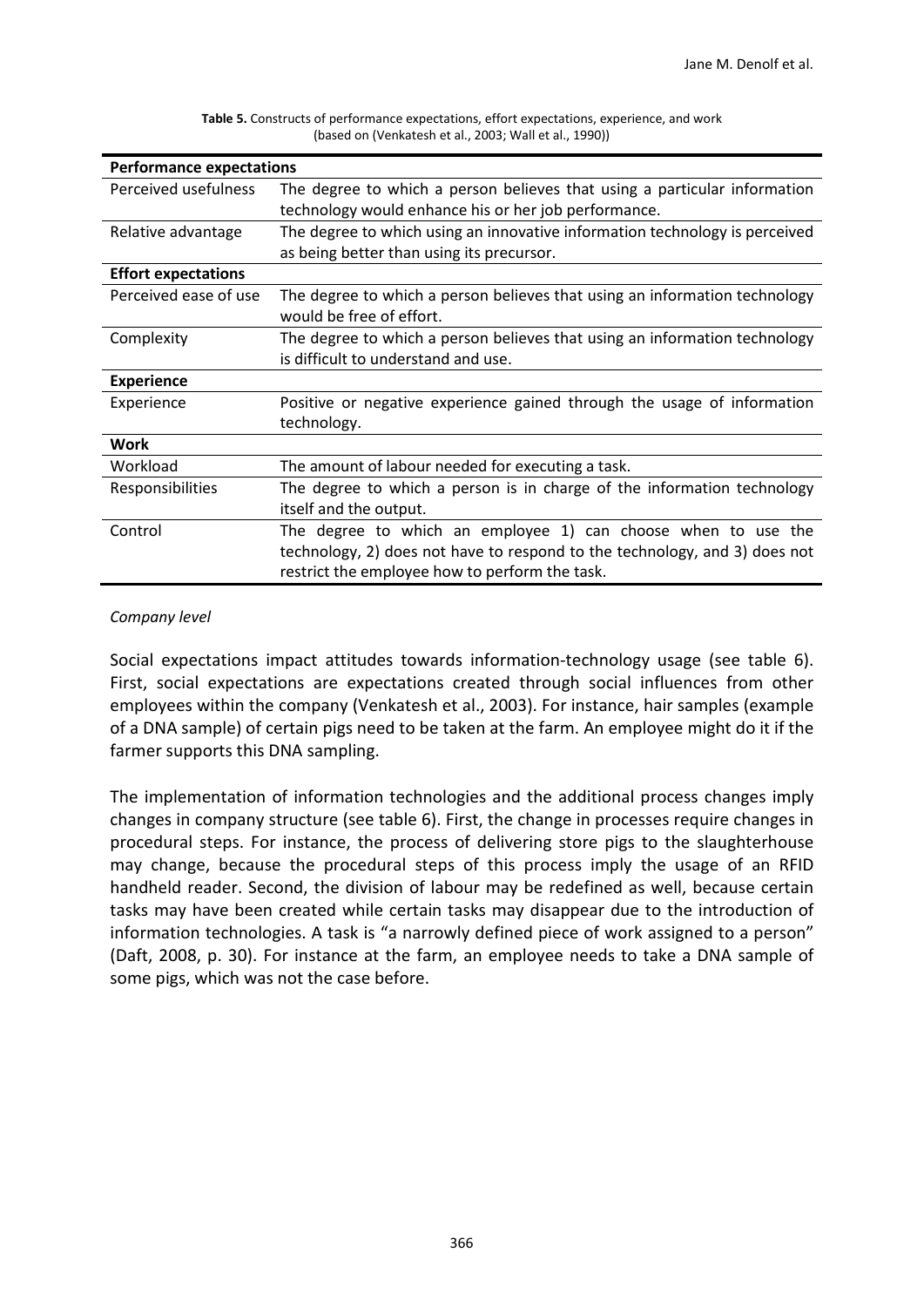| <b>Performance expectations</b> |                                                                                                                                                                                               |
|---------------------------------|-----------------------------------------------------------------------------------------------------------------------------------------------------------------------------------------------|
| Perceived usefulness            | The degree to which a person believes that using a particular information<br>technology would enhance his or her job performance.                                                             |
| Relative advantage              | The degree to which using an innovative information technology is perceived<br>as being better than using its precursor.                                                                      |
| <b>Effort expectations</b>      |                                                                                                                                                                                               |
| Perceived ease of use           | The degree to which a person believes that using an information technology<br>would be free of effort.                                                                                        |
| Complexity                      | The degree to which a person believes that using an information technology<br>is difficult to understand and use.                                                                             |
| <b>Experience</b>               |                                                                                                                                                                                               |
| Experience                      | Positive or negative experience gained through the usage of information<br>technology.                                                                                                        |
| Work                            |                                                                                                                                                                                               |
| Workload                        | The amount of labour needed for executing a task.                                                                                                                                             |
| Responsibilities                | The degree to which a person is in charge of the information technology<br>itself and the output.                                                                                             |
| Control                         | The degree to which an employee 1) can choose when to use the<br>technology, 2) does not have to respond to the technology, and 3) does not<br>restrict the employee how to perform the task. |

**Table 5.** Constructs of performance expectations, effort expectations, experience, and work (based on [\(Venkatesh et al., 2003;](#page-18-6) [Wall et al., 1990\)](#page-18-12))

## *Company level*

Social expectations impact attitudes towards information-technology usage (see table 6). First, social expectations are expectations created through social influences from other employees within the company [\(Venkatesh et al., 2003\)](#page-18-6). For instance, hair samples (example of a DNA sample) of certain pigs need to be taken at the farm. An employee might do it if the farmer supports this DNA sampling.

The implementation of information technologies and the additional process changes imply changes in company structure (see table 6). First, the change in processes require changes in procedural steps. For instance, the process of delivering store pigs to the slaughterhouse may change, because the procedural steps of this process imply the usage of an RFID handheld reader. Second, the division of labour may be redefined as well, because certain tasks may have been created while certain tasks may disappear due to the introduction of information technologies. A task is "a narrowly defined piece of work assigned to a person" (Daft, 2008, p. 30). For instance at the farm, an employee needs to take a DNA sample of some pigs, which was not the case before.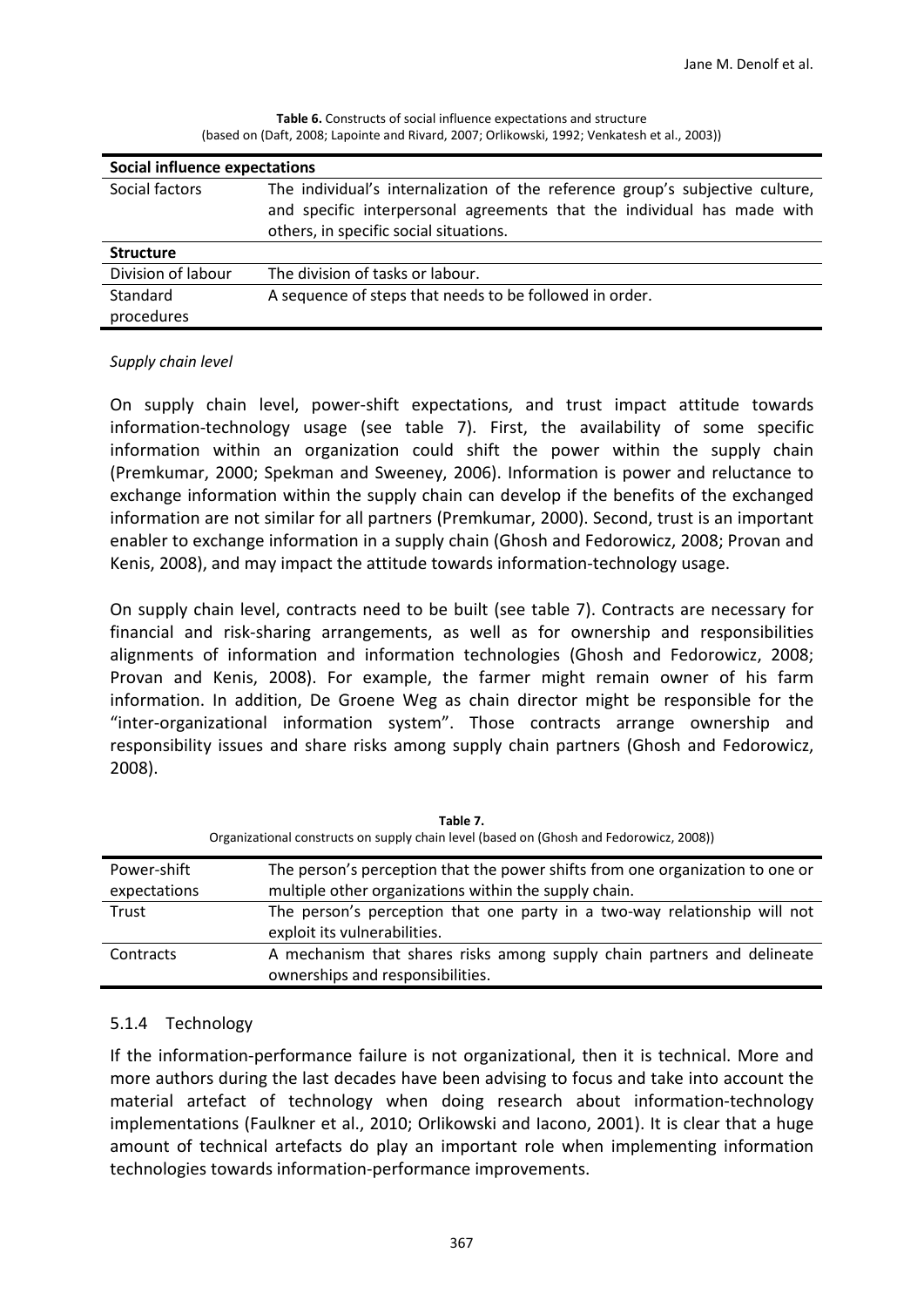| <b>Social influence expectations</b> |                                                                                                                                                                                                    |
|--------------------------------------|----------------------------------------------------------------------------------------------------------------------------------------------------------------------------------------------------|
| Social factors                       | The individual's internalization of the reference group's subjective culture,<br>and specific interpersonal agreements that the individual has made with<br>others, in specific social situations. |
| <b>Structure</b>                     |                                                                                                                                                                                                    |
| Division of labour                   | The division of tasks or labour.                                                                                                                                                                   |
| Standard                             | A sequence of steps that needs to be followed in order.                                                                                                                                            |
| procedures                           |                                                                                                                                                                                                    |

**Table 6.** Constructs of social influence expectations and structure (based on [\(Daft, 2008;](#page-15-11) [Lapointe and Rivard, 2007;](#page-16-17) [Orlikowski, 1992;](#page-16-9) [Venkatesh et al., 2003\)](#page-18-6))

#### *Supply chain level*

On supply chain level, power-shift expectations, and trust impact attitude towards information-technology usage (see table 7). First, the availability of some specific information within an organization could shift the power within the supply chain [\(Premkumar, 2000;](#page-17-15) [Spekman and Sweeney, 2006\)](#page-17-16). Information is power and reluctance to exchange information within the supply chain can develop if the benefits of the exchanged information are not similar for all partners [\(Premkumar, 2000\)](#page-17-15). Second, trust is an important enabler to exchange information in a supply chain [\(Ghosh and Fedorowicz, 2008;](#page-16-18) [Provan and](#page-17-17)  [Kenis, 2008\)](#page-17-17), and may impact the attitude towards information-technology usage.

On supply chain level, contracts need to be built (see table 7). Contracts are necessary for financial and risk-sharing arrangements, as well as for ownership and responsibilities alignments of information and information technologies [\(Ghosh and Fedorowicz, 2008;](#page-16-18) [Provan and Kenis, 2008\)](#page-17-17). For example, the farmer might remain owner of his farm information. In addition, De Groene Weg as chain director might be responsible for the "inter-organizational information system". Those contracts arrange ownership and responsibility issues and share risks among supply chain partners [\(Ghosh and Fedorowicz,](#page-16-18)  [2008\)](#page-16-18).

| Organizational constructs on supply chain level (based on (Ghosh and Fedorowicz, 2008)) |                                                                               |
|-----------------------------------------------------------------------------------------|-------------------------------------------------------------------------------|
| Power-shift                                                                             | The person's perception that the power shifts from one organization to one or |
| expectations                                                                            | multiple other organizations within the supply chain.                         |
| Trust                                                                                   | The person's perception that one party in a two-way relationship will not     |
|                                                                                         | exploit its vulnerabilities.                                                  |
| Contracts                                                                               | A mechanism that shares risks among supply chain partners and delineate       |
|                                                                                         | ownerships and responsibilities.                                              |

**Table 7.**

## 5.1.4 Technology

If the information-performance failure is not organizational, then it is technical. More and more authors during the last decades have been advising to focus and take into account the material artefact of technology when doing research about information-technology implementations [\(Faulkner et al., 2010;](#page-15-12) [Orlikowski and Iacono, 2001\)](#page-17-18). It is clear that a huge amount of technical artefacts do play an important role when implementing information technologies towards information-performance improvements.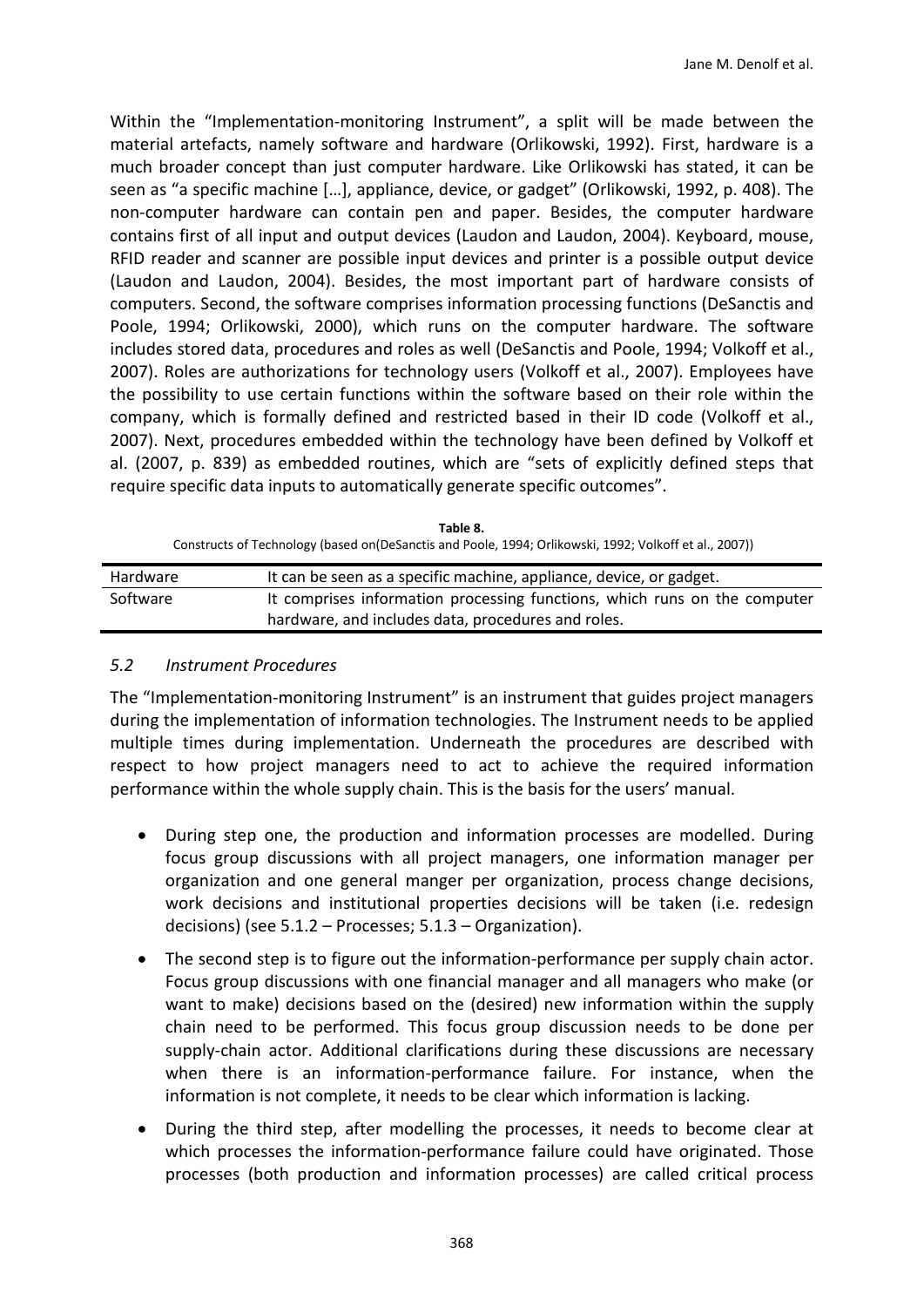Within the "Implementation-monitoring Instrument", a split will be made between the material artefacts, namely software and hardware [\(Orlikowski, 1992\)](#page-16-9). First, hardware is a much broader concept than just computer hardware. Like Orlikowski has stated, it can be seen as "a specific machine […], appliance, device, or gadget" (Orlikowski, 1992, p. 408). The non-computer hardware can contain pen and paper. Besides, the computer hardware contains first of all input and output devices [\(Laudon and Laudon, 2004\)](#page-16-19). Keyboard, mouse, RFID reader and scanner are possible input devices and printer is a possible output device (Laudon and Laudon, 2004). Besides, the most important part of hardware consists of computers. Second, the software comprises information processing functions [\(DeSanctis and](#page-15-6)  [Poole, 1994;](#page-15-6) [Orlikowski, 2000\)](#page-17-10), which runs on the computer hardware. The software includes stored data, procedures and roles as well [\(DeSanctis and Poole,](#page-15-6) 1994; [Volkoff et al.,](#page-18-4)  [2007\)](#page-18-4). Roles are authorizations for technology users [\(Volkoff et al., 2007\)](#page-18-4). Employees have the possibility to use certain functions within the software based on their role within the company, which is formally defined and restricted based in their ID code [\(Volkoff et al.,](#page-18-4)  [2007\)](#page-18-4). Next, procedures embedded within the technology have been defined by Volkoff et al. (2007, p. 839) as embedded routines, which are "sets of explicitly defined steps that require specific data inputs to automatically generate specific outcomes".

| .                                                                                                       |                                                                           |
|---------------------------------------------------------------------------------------------------------|---------------------------------------------------------------------------|
| Constructs of Technology (based on (DeSanctis and Poole, 1994; Orlikowski, 1992; Volkoff et al., 2007)) |                                                                           |
| Hardware                                                                                                | It can be seen as a specific machine, appliance, device, or gadget.       |
| Software                                                                                                | It comprises information processing functions, which runs on the computer |
|                                                                                                         | hardware, and includes data, procedures and roles.                        |

**Table 8.** 

*5.2 Instrument Procedures*

The "Implementation-monitoring Instrument" is an instrument that guides project managers during the implementation of information technologies. The Instrument needs to be applied multiple times during implementation. Underneath the procedures are described with respect to how project managers need to act to achieve the required information performance within the whole supply chain. This is the basis for the users' manual.

- During step one, the production and information processes are modelled. During focus group discussions with all project managers, one information manager per organization and one general manger per organization, process change decisions, work decisions and institutional properties decisions will be taken (i.e. redesign decisions) (see 5.1.2 – Processes; 5.1.3 – Organization).
- The second step is to figure out the information-performance per supply chain actor. Focus group discussions with one financial manager and all managers who make (or want to make) decisions based on the (desired) new information within the supply chain need to be performed. This focus group discussion needs to be done per supply-chain actor. Additional clarifications during these discussions are necessary when there is an information-performance failure. For instance, when the information is not complete, it needs to be clear which information is lacking.
- During the third step, after modelling the processes, it needs to become clear at which processes the information-performance failure could have originated. Those processes (both production and information processes) are called critical process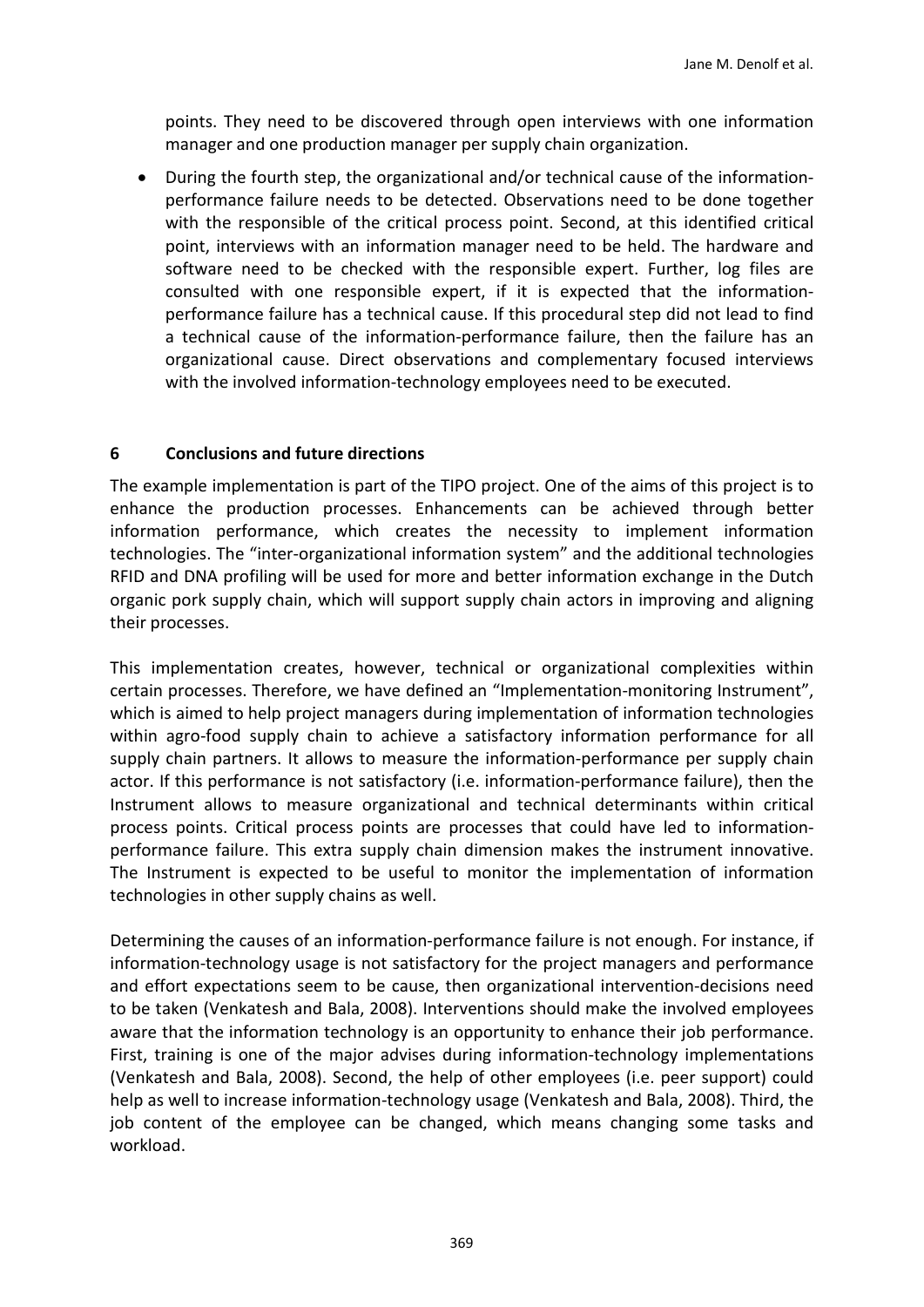points. They need to be discovered through open interviews with one information manager and one production manager per supply chain organization.

• During the fourth step, the organizational and/or technical cause of the informationperformance failure needs to be detected. Observations need to be done together with the responsible of the critical process point. Second, at this identified critical point, interviews with an information manager need to be held. The hardware and software need to be checked with the responsible expert. Further, log files are consulted with one responsible expert, if it is expected that the informationperformance failure has a technical cause. If this procedural step did not lead to find a technical cause of the information-performance failure, then the failure has an organizational cause. Direct observations and complementary focused interviews with the involved information-technology employees need to be executed.

## **6 Conclusions and future directions**

The example implementation is part of the TIPO project. One of the aims of this project is to enhance the production processes. Enhancements can be achieved through better information performance, which creates the necessity to implement information technologies. The "inter-organizational information system" and the additional technologies RFID and DNA profiling will be used for more and better information exchange in the Dutch organic pork supply chain, which will support supply chain actors in improving and aligning their processes.

This implementation creates, however, technical or organizational complexities within certain processes. Therefore, we have defined an "Implementation-monitoring Instrument", which is aimed to help project managers during implementation of information technologies within agro-food supply chain to achieve a satisfactory information performance for all supply chain partners. It allows to measure the information-performance per supply chain actor. If this performance is not satisfactory (i.e. information-performance failure), then the Instrument allows to measure organizational and technical determinants within critical process points. Critical process points are processes that could have led to informationperformance failure. This extra supply chain dimension makes the instrument innovative. The Instrument is expected to be useful to monitor the implementation of information technologies in other supply chains as well.

Determining the causes of an information-performance failure is not enough. For instance, if information-technology usage is not satisfactory for the project managers and performance and effort expectations seem to be cause, then organizational intervention-decisions need to be taken [\(Venkatesh and Bala, 2008\)](#page-18-5). Interventions should make the involved employees aware that the information technology is an opportunity to enhance their job performance. First, training is one of the major advises during information-technology implementations [\(Venkatesh and Bala, 2008\)](#page-18-5). Second, the help of other employees (i.e. peer support) could help as well to increase information-technology usage [\(Venkatesh and Bala, 2008\)](#page-18-5). Third, the job content of the employee can be changed, which means changing some tasks and workload.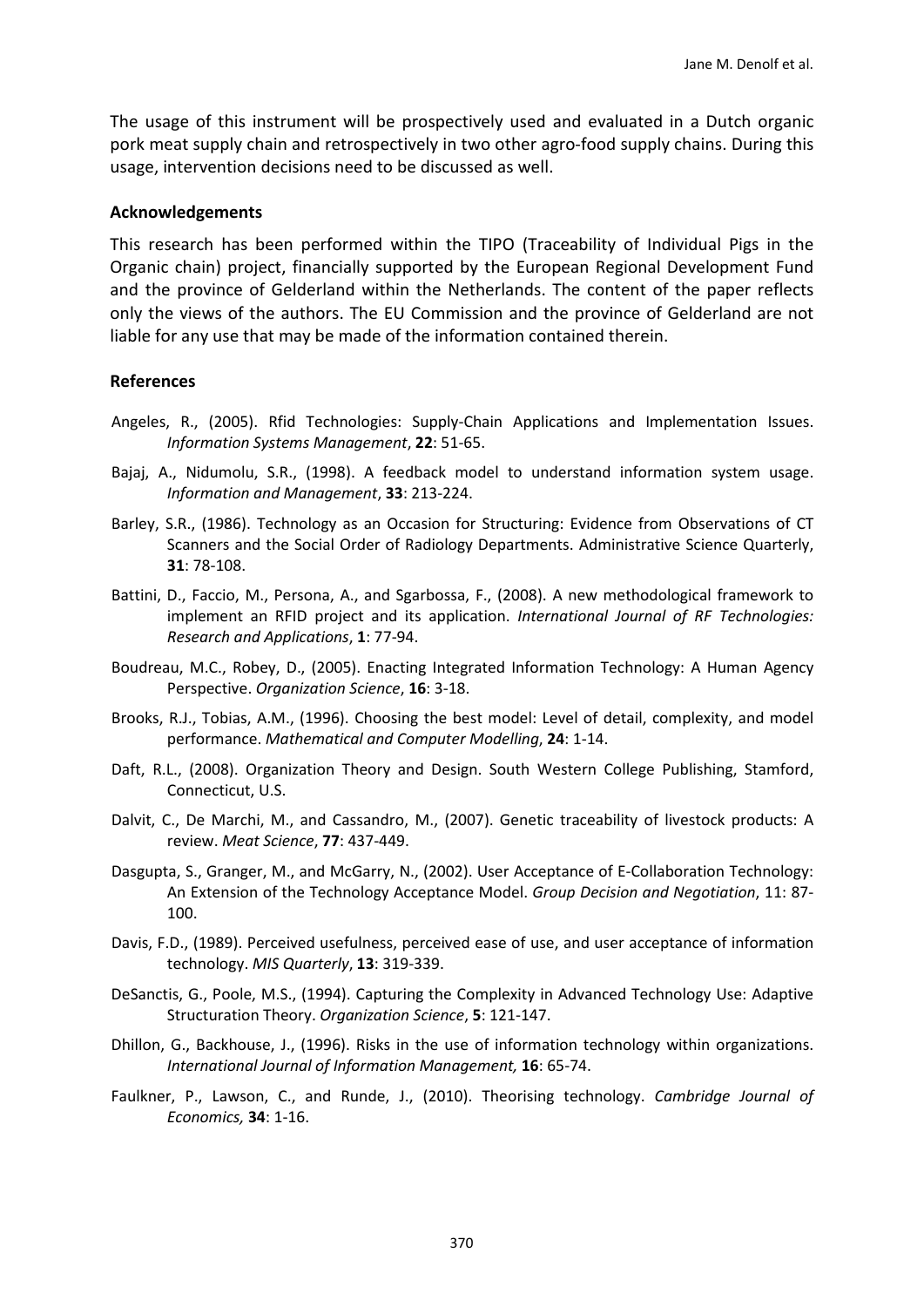The usage of this instrument will be prospectively used and evaluated in a Dutch organic pork meat supply chain and retrospectively in two other agro-food supply chains. During this usage, intervention decisions need to be discussed as well.

#### **Acknowledgements**

This research has been performed within the TIPO (Traceability of Individual Pigs in the Organic chain) project, financially supported by the European Regional Development Fund and the province of Gelderland within the Netherlands. The content of the paper reflects only the views of the authors. The EU Commission and the province of Gelderland are not liable for any use that may be made of the information contained therein.

#### **References**

- <span id="page-15-3"></span>Angeles, R., (2005). Rfid Technologies: Supply-Chain Applications and Implementation Issues. *Information Systems Management*, **22**: 51-65.
- <span id="page-15-0"></span>Bajaj, A., Nidumolu, S.R., (1998). A feedback model to understand information system usage. *Information and Management*, **33**: 213-224.
- <span id="page-15-1"></span>Barley, S.R., (1986). Technology as an Occasion for Structuring: Evidence from Observations of CT Scanners and the Social Order of Radiology Departments. Administrative Science Quarterly, **31**: 78-108.
- <span id="page-15-7"></span>Battini, D., Faccio, M., Persona, A., and Sgarbossa, F., (2008). A new methodological framework to implement an RFID project and its application. *International Journal of RF Technologies: Research and Applications*, **1**: 77-94.
- <span id="page-15-9"></span>Boudreau, M.C., Robey, D., (2005). Enacting Integrated Information Technology: A Human Agency Perspective. *Organization Science*, **16**: 3-18.
- <span id="page-15-5"></span>Brooks, R.J., Tobias, A.M., (1996). Choosing the best model: Level of detail, complexity, and model performance. *Mathematical and Computer Modelling*, **24**: 1-14.
- <span id="page-15-11"></span>Daft, R.L., (2008). Organization Theory and Design. South Western College Publishing, Stamford, Connecticut, U.S.
- <span id="page-15-4"></span>Dalvit, C., De Marchi, M., and Cassandro, M., (2007). Genetic traceability of livestock products: A review. *Meat Science*, **77**: 437-449.
- <span id="page-15-8"></span>Dasgupta, S., Granger, M., and McGarry, N., (2002). User Acceptance of E-Collaboration Technology: An Extension of the Technology Acceptance Model. *Group Decision and Negotiation*, 11: 87- 100.
- <span id="page-15-2"></span>Davis, F.D., (1989). Perceived usefulness, perceived ease of use, and user acceptance of information technology. *MIS Quarterly*, **13**: 319-339.
- <span id="page-15-6"></span>DeSanctis, G., Poole, M.S., (1994). Capturing the Complexity in Advanced Technology Use: Adaptive Structuration Theory. *Organization Science*, **5**: 121-147.
- <span id="page-15-10"></span>Dhillon, G., Backhouse, J., (1996). Risks in the use of information technology within organizations. *International Journal of Information Management,* **16**: 65-74.
- <span id="page-15-12"></span>Faulkner, P., Lawson, C., and Runde, J., (2010). Theorising technology. *Cambridge Journal of Economics,* **34**: 1-16.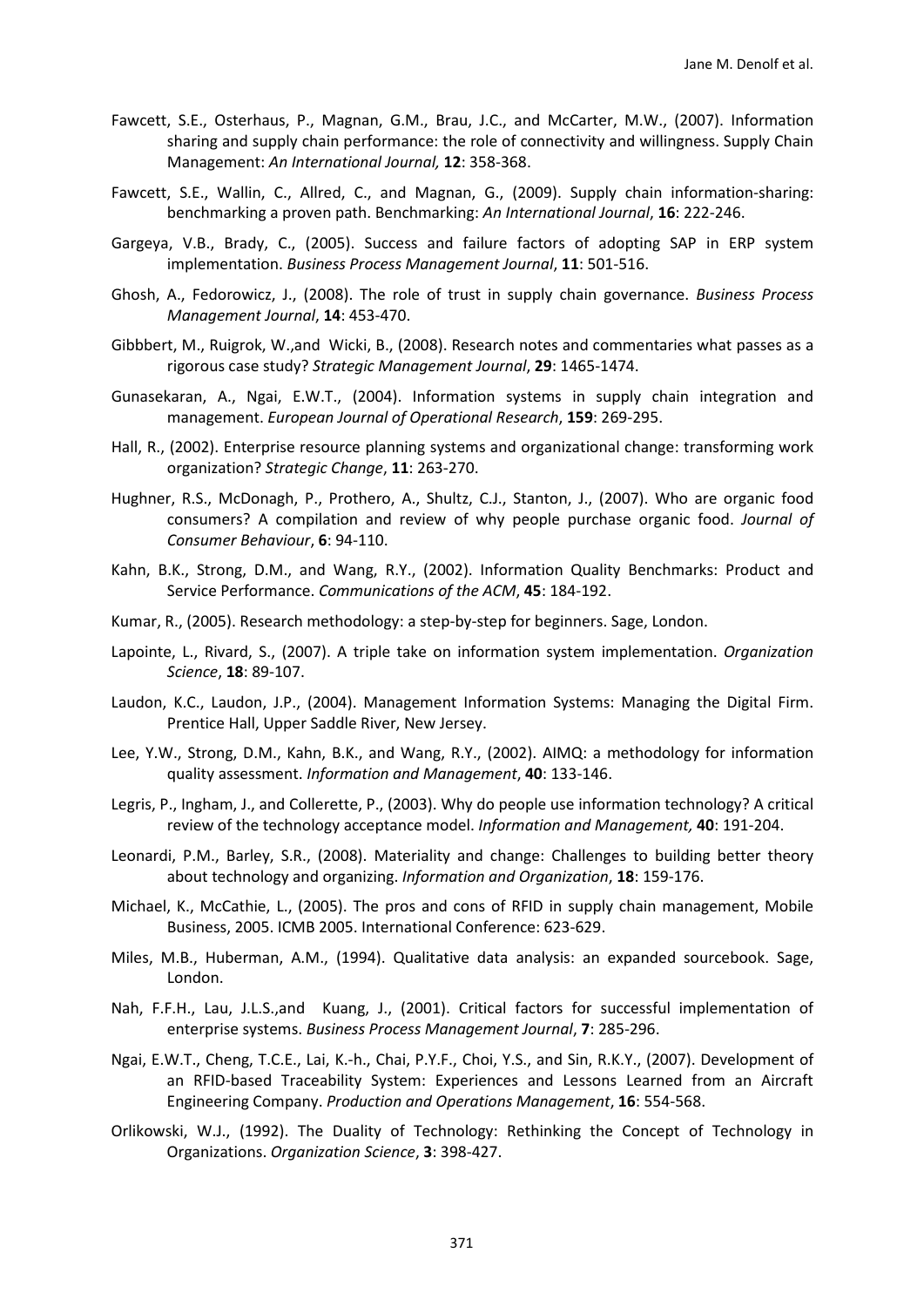- <span id="page-16-4"></span>Fawcett, S.E., Osterhaus, P., Magnan, G.M., Brau, J.C., and McCarter, M.W., (2007). Information sharing and supply chain performance: the role of connectivity and willingness. Supply Chain Management: *An International Journal,* **12**: 358-368.
- <span id="page-16-1"></span>Fawcett, S.E., Wallin, C., Allred, C., and Magnan, G., (2009). Supply chain information-sharing: benchmarking a proven path. Benchmarking: *An International Journal*, **16**: 222-246.
- <span id="page-16-15"></span>Gargeya, V.B., Brady, C., (2005). Success and failure factors of adopting SAP in ERP system implementation. *Business Process Management Journal*, **11**: 501-516.
- <span id="page-16-18"></span>Ghosh, A., Fedorowicz, J., (2008). The role of trust in supply chain governance. *Business Process Management Journal*, **14**: 453-470.
- <span id="page-16-12"></span>Gibbbert, M., Ruigrok, W.,and Wicki, B., (2008). Research notes and commentaries what passes as a rigorous case study? *Strategic Management Journal*, **29**: 1465-1474.
- <span id="page-16-0"></span>Gunasekaran, A., Ngai, E.W.T., (2004). Information systems in supply chain integration and management. *European Journal of Operational Research*, **159**: 269-295.
- <span id="page-16-2"></span>Hall, R., (2002). Enterprise resource planning systems and organizational change: transforming work organization? *Strategic Change*, **11**: 263-270.
- <span id="page-16-6"></span>Hughner, R.S., McDonagh, P., Prothero, A., Shultz, C.J., Stanton, J., (2007). Who are organic food consumers? A compilation and review of why people purchase organic food. *Journal of Consumer Behaviour*, **6**: 94-110.
- <span id="page-16-13"></span>Kahn, B.K., Strong, D.M., and Wang, R.Y., (2002). Information Quality Benchmarks: Product and Service Performance. *Communications of the ACM*, **45**: 184-192.
- <span id="page-16-11"></span>Kumar, R., (2005). Research methodology: a step-by-step for beginners. Sage, London.
- <span id="page-16-17"></span>Lapointe, L., Rivard, S., (2007). A triple take on information system implementation. *Organization Science*, **18**: 89-107.
- <span id="page-16-19"></span>Laudon, K.C., Laudon, J.P., (2004). Management Information Systems: Managing the Digital Firm. Prentice Hall, Upper Saddle River, New Jersey.
- <span id="page-16-14"></span>Lee, Y.W., Strong, D.M., Kahn, B.K., and Wang, R.Y., (2002). AIMQ: a methodology for information quality assessment. *Information and Management*, **40**: 133-146.
- <span id="page-16-16"></span>Legris, P., Ingham, J., and Collerette, P., (2003). Why do people use information technology? A critical review of the technology acceptance model. *Information and Management,* **40**: 191-204.
- <span id="page-16-8"></span>Leonardi, P.M., Barley, S.R., (2008). Materiality and change: Challenges to building better theory about technology and organizing. *Information and Organization*, **18**: 159-176.
- <span id="page-16-7"></span>Michael, K., McCathie, L., (2005). The pros and cons of RFID in supply chain management, Mobile Business, 2005. ICMB 2005. International Conference: 623-629.
- <span id="page-16-10"></span>Miles, M.B., Huberman, A.M., (1994). Qualitative data analysis: an expanded sourcebook. Sage, London.
- <span id="page-16-5"></span>Nah, F.F.H., Lau, J.L.S.,and Kuang, J., (2001). Critical factors for successful implementation of enterprise systems. *Business Process Management Journal*, **7**: 285-296.
- <span id="page-16-3"></span>Ngai, E.W.T., Cheng, T.C.E., Lai, K.-h., Chai, P.Y.F., Choi, Y.S., and Sin, R.K.Y., (2007). Development of an RFID-based Traceability System: Experiences and Lessons Learned from an Aircraft Engineering Company. *Production and Operations Management*, **16**: 554-568.
- <span id="page-16-9"></span>Orlikowski, W.J., (1992). The Duality of Technology: Rethinking the Concept of Technology in Organizations. *Organization Science*, **3**: 398-427.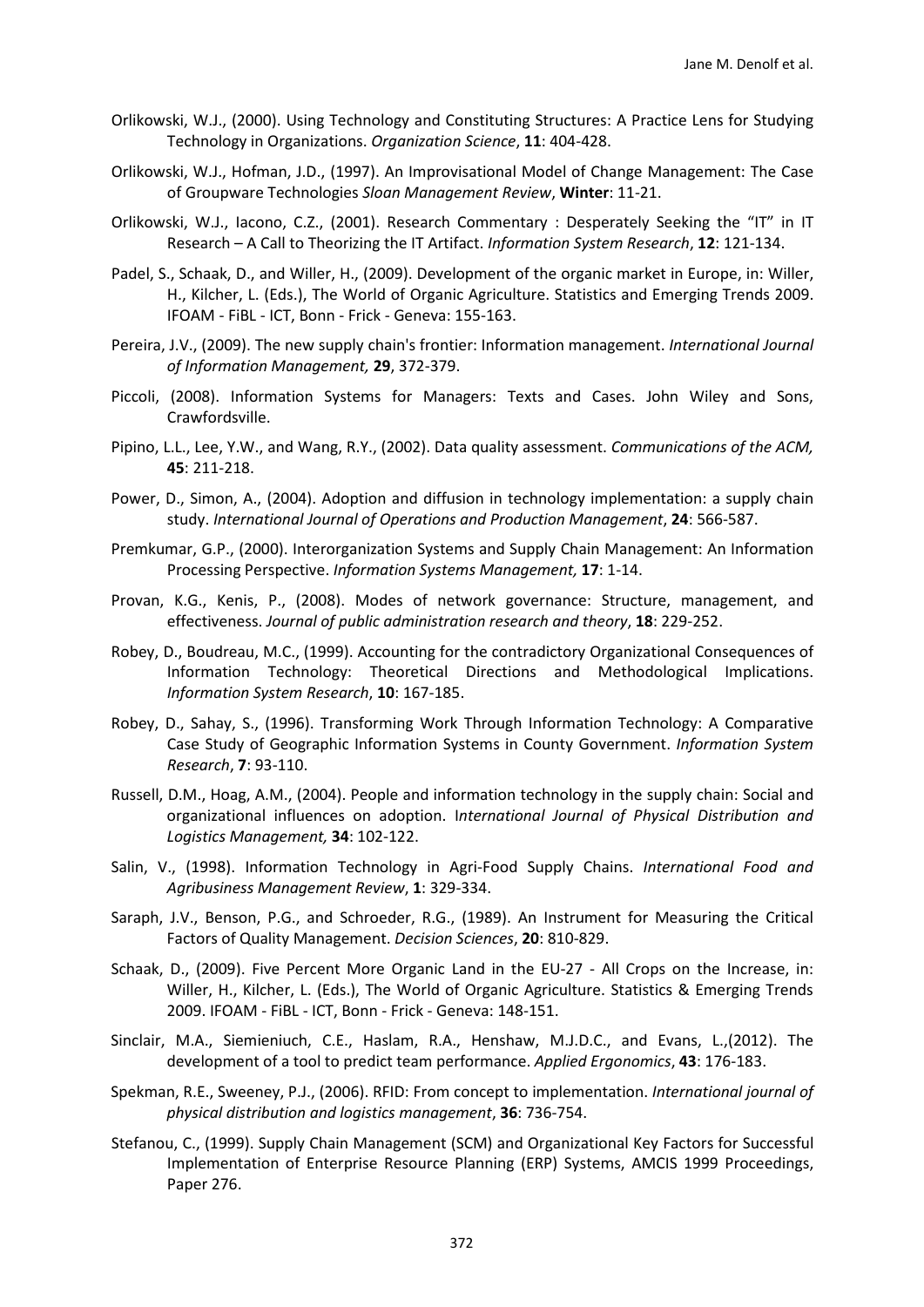- <span id="page-17-10"></span>Orlikowski, W.J., (2000). Using Technology and Constituting Structures: A Practice Lens for Studying Technology in Organizations. *Organization Science*, **11**: 404-428.
- <span id="page-17-3"></span>Orlikowski, W.J., Hofman, J.D., (1997). An Improvisational Model of Change Management: The Case of Groupware Technologies *Sloan Management Review*, **Winter**: 11-21.
- <span id="page-17-18"></span>Orlikowski, W.J., Iacono, C.Z., (2001). Research Commentary : Desperately Seeking the "IT" in IT Research – A Call to Theorizing the IT Artifact. *Information System Research*, **12**: 121-134.
- <span id="page-17-6"></span>Padel, S., Schaak, D., and Willer, H., (2009). Development of the organic market in Europe, in: Willer, H., Kilcher, L. (Eds.), The World of Organic Agriculture. Statistics and Emerging Trends 2009. IFOAM - FiBL - ICT, Bonn - Frick - Geneva: 155-163.
- <span id="page-17-12"></span>Pereira, J.V., (2009). The new supply chain's frontier: Information management. *International Journal of Information Management,* **29**, 372-379.
- <span id="page-17-13"></span>Piccoli, (2008). Information Systems for Managers: Texts and Cases. John Wiley and Sons, Crawfordsville.
- <span id="page-17-14"></span>Pipino, L.L., Lee, Y.W., and Wang, R.Y., (2002). Data quality assessment. *Communications of the ACM,* **45**: 211-218.
- <span id="page-17-11"></span>Power, D., Simon, A., (2004). Adoption and diffusion in technology implementation: a supply chain study. *International Journal of Operations and Production Management*, **24**: 566-587.
- <span id="page-17-15"></span>Premkumar, G.P., (2000). Interorganization Systems and Supply Chain Management: An Information Processing Perspective. *Information Systems Management,* **17**: 1-14.
- <span id="page-17-17"></span>Provan, K.G., Kenis, P., (2008). Modes of network governance: Structure, management, and effectiveness. *Journal of public administration research and theory*, **18**: 229-252.
- <span id="page-17-4"></span>Robey, D., Boudreau, M.C., (1999). Accounting for the contradictory Organizational Consequences of Information Technology: Theoretical Directions and Methodological Implications. *Information System Research*, **10**: 167-185.
- <span id="page-17-5"></span>Robey, D., Sahay, S., (1996). Transforming Work Through Information Technology: A Comparative Case Study of Geographic Information Systems in County Government. *Information System Research*, **7**: 93-110.
- <span id="page-17-1"></span>Russell, D.M., Hoag, A.M., (2004). People and information technology in the supply chain: Social and organizational influences on adoption. I*nternational Journal of Physical Distribution and Logistics Management,* **34**: 102-122.
- <span id="page-17-0"></span>Salin, V., (1998). Information Technology in Agri-Food Supply Chains. *International Food and Agribusiness Management Review*, **1**: 329-334.
- <span id="page-17-9"></span>Saraph, J.V., Benson, P.G., and Schroeder, R.G., (1989). An Instrument for Measuring the Critical Factors of Quality Management. *Decision Sciences*, **20**: 810-829.
- <span id="page-17-7"></span>Schaak, D., (2009). Five Percent More Organic Land in the EU-27 - All Crops on the Increase, in: Willer, H., Kilcher, L. (Eds.), The World of Organic Agriculture. Statistics & Emerging Trends 2009. IFOAM - FiBL - ICT, Bonn - Frick - Geneva: 148-151.
- <span id="page-17-8"></span>Sinclair, M.A., Siemieniuch, C.E., Haslam, R.A., Henshaw, M.J.D.C., and Evans, L.,(2012). The development of a tool to predict team performance. *Applied Ergonomics*, **43**: 176-183.
- <span id="page-17-16"></span>Spekman, R.E., Sweeney, P.J., (2006). RFID: From concept to implementation. *International journal of physical distribution and logistics management*, **36**: 736-754.
- <span id="page-17-2"></span>Stefanou, C., (1999). Supply Chain Management (SCM) and Organizational Key Factors for Successful Implementation of Enterprise Resource Planning (ERP) Systems, AMCIS 1999 Proceedings, Paper 276.